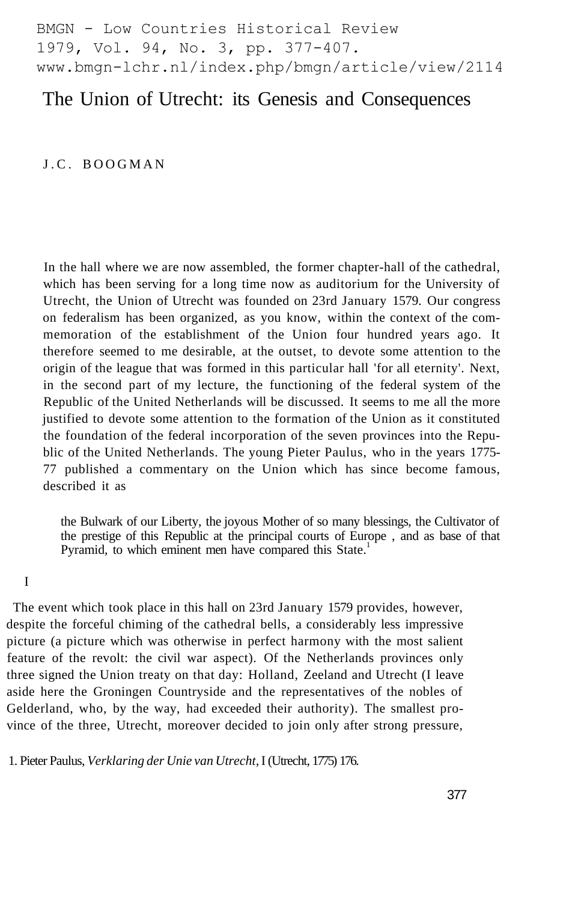BMGN - Low Countries Historical Review 1979, Vol. 94, No. 3, pp. 377-407. www.bmgn-lchr.nl/index.php/bmgn/article/view/2114

# The Union of Utrecht: its Genesis and Consequences

## J.C. BOOGMAN

In the hall where we are now assembled, the former chapter-hall of the cathedral, which has been serving for a long time now as auditorium for the University of Utrecht, the Union of Utrecht was founded on 23rd January 1579. Our congress on federalism has been organized, as you know, within the context of the commemoration of the establishment of the Union four hundred years ago. It therefore seemed to me desirable, at the outset, to devote some attention to the origin of the league that was formed in this particular hall 'for all eternity'. Next, in the second part of my lecture, the functioning of the federal system of the Republic of the United Netherlands will be discussed. It seems to me all the more justified to devote some attention to the formation of the Union as it constituted the foundation of the federal incorporation of the seven provinces into the Republic of the United Netherlands. The young Pieter Paulus, who in the years 1775- 77 published a commentary on the Union which has since become famous, described it as

the Bulwark of our Liberty, the joyous Mother of so many blessings, the Cultivator of the prestige of this Republic at the principal courts of Europe , and as base of that Pyramid, to which eminent men have compared this State.<sup>1</sup>

#### I

The event which took place in this hall on 23rd January 1579 provides, however, despite the forceful chiming of the cathedral bells, a considerably less impressive picture (a picture which was otherwise in perfect harmony with the most salient feature of the revolt: the civil war aspect). Of the Netherlands provinces only three signed the Union treaty on that day: Holland, Zeeland and Utrecht (I leave aside here the Groningen Countryside and the representatives of the nobles of Gelderland, who, by the way, had exceeded their authority). The smallest province of the three, Utrecht, moreover decided to join only after strong pressure,

1. Pieter Paulus, *Verklaring der Unie van Utrecht,* I (Utrecht, 1775) 176.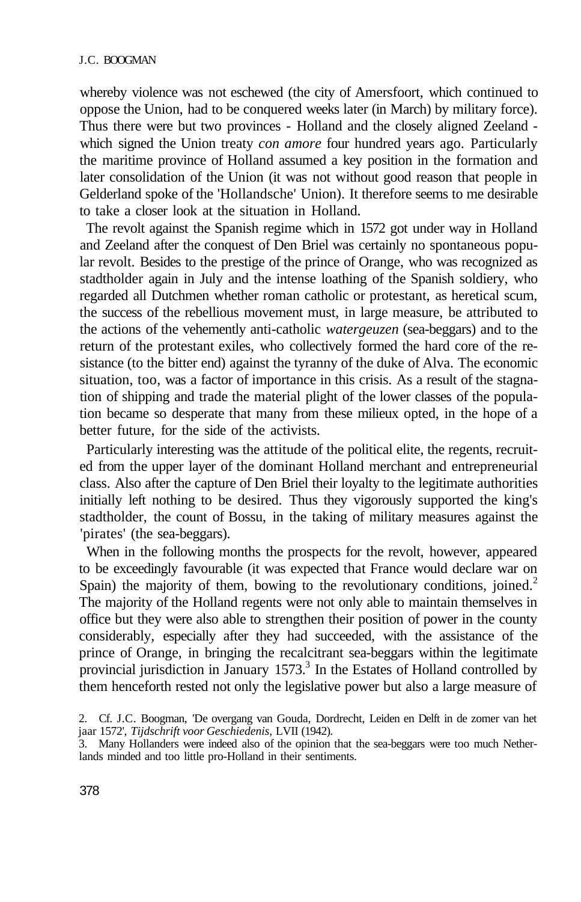whereby violence was not eschewed (the city of Amersfoort, which continued to oppose the Union, had to be conquered weeks later (in March) by military force). Thus there were but two provinces - Holland and the closely aligned Zeeland which signed the Union treaty *con amore* four hundred years ago. Particularly the maritime province of Holland assumed a key position in the formation and later consolidation of the Union (it was not without good reason that people in Gelderland spoke of the 'Hollandsche' Union). It therefore seems to me desirable to take a closer look at the situation in Holland.

The revolt against the Spanish regime which in 1572 got under way in Holland and Zeeland after the conquest of Den Briel was certainly no spontaneous popular revolt. Besides to the prestige of the prince of Orange, who was recognized as stadtholder again in July and the intense loathing of the Spanish soldiery, who regarded all Dutchmen whether roman catholic or protestant, as heretical scum, the success of the rebellious movement must, in large measure, be attributed to the actions of the vehemently anti-catholic *watergeuzen* (sea-beggars) and to the return of the protestant exiles, who collectively formed the hard core of the resistance (to the bitter end) against the tyranny of the duke of Alva. The economic situation, too, was a factor of importance in this crisis. As a result of the stagnation of shipping and trade the material plight of the lower classes of the population became so desperate that many from these milieux opted, in the hope of a better future, for the side of the activists.

Particularly interesting was the attitude of the political elite, the regents, recruited from the upper layer of the dominant Holland merchant and entrepreneurial class. Also after the capture of Den Briel their loyalty to the legitimate authorities initially left nothing to be desired. Thus they vigorously supported the king's stadtholder, the count of Bossu, in the taking of military measures against the 'pirates' (the sea-beggars).

When in the following months the prospects for the revolt, however, appeared to be exceedingly favourable (it was expected that France would declare war on Spain) the majority of them, bowing to the revolutionary conditions, joined.<sup>2</sup> The majority of the Holland regents were not only able to maintain themselves in office but they were also able to strengthen their position of power in the county considerably, especially after they had succeeded, with the assistance of the prince of Orange, in bringing the recalcitrant sea-beggars within the legitimate provincial jurisdiction in January  $1573$ .<sup>3</sup> In the Estates of Holland controlled by them henceforth rested not only the legislative power but also a large measure of

<sup>2.</sup> Cf. J.C. Boogman, 'De overgang van Gouda, Dordrecht, Leiden en Delft in de zomer van het jaar 1572', *Tijdschrift voor Geschiedenis,* LVII (1942).

<sup>3.</sup> Many Hollanders were indeed also of the opinion that the sea-beggars were too much Netherlands minded and too little pro-Holland in their sentiments.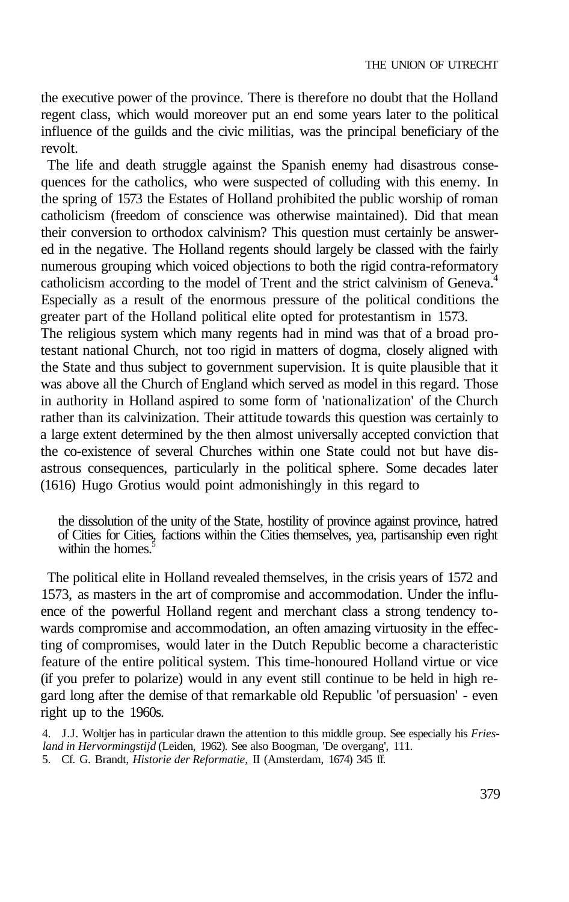the executive power of the province. There is therefore no doubt that the Holland regent class, which would moreover put an end some years later to the political influence of the guilds and the civic militias, was the principal beneficiary of the revolt.

The life and death struggle against the Spanish enemy had disastrous consequences for the catholics, who were suspected of colluding with this enemy. In the spring of 1573 the Estates of Holland prohibited the public worship of roman catholicism (freedom of conscience was otherwise maintained). Did that mean their conversion to orthodox calvinism? This question must certainly be answered in the negative. The Holland regents should largely be classed with the fairly numerous grouping which voiced objections to both the rigid contra-reformatory catholicism according to the model of Trent and the strict calvinism of Geneva.<sup>4</sup> Especially as a result of the enormous pressure of the political conditions the greater part of the Holland political elite opted for protestantism in 1573. The religious system which many regents had in mind was that of a broad protestant national Church, not too rigid in matters of dogma, closely aligned with the State and thus subject to government supervision. It is quite plausible that it was above all the Church of England which served as model in this regard. Those in authority in Holland aspired to some form of 'nationalization' of the Church rather than its calvinization. Their attitude towards this question was certainly to a large extent determined by the then almost universally accepted conviction that the co-existence of several Churches within one State could not but have disastrous consequences, particularly in the political sphere. Some decades later (1616) Hugo Grotius would point admonishingly in this regard to

the dissolution of the unity of the State, hostility of province against province, hatred of Cities for Cities, factions within the Cities themselves, yea, partisanship even right within the homes.

The political elite in Holland revealed themselves, in the crisis years of 1572 and 1573, as masters in the art of compromise and accommodation. Under the influence of the powerful Holland regent and merchant class a strong tendency towards compromise and accommodation, an often amazing virtuosity in the effecting of compromises, would later in the Dutch Republic become a characteristic feature of the entire political system. This time-honoured Holland virtue or vice (if you prefer to polarize) would in any event still continue to be held in high regard long after the demise of that remarkable old Republic 'of persuasion' - even right up to the 1960s.

<sup>4.</sup> J.J. Woltjer has in particular drawn the attention to this middle group. See especially his *Friesland in Hervormingstijd* (Leiden, 1962). See also Boogman, 'De overgang', 111.

<sup>5.</sup> Cf. G. Brandt, *Historie der Reformatie,* II (Amsterdam, 1674) 345 ff.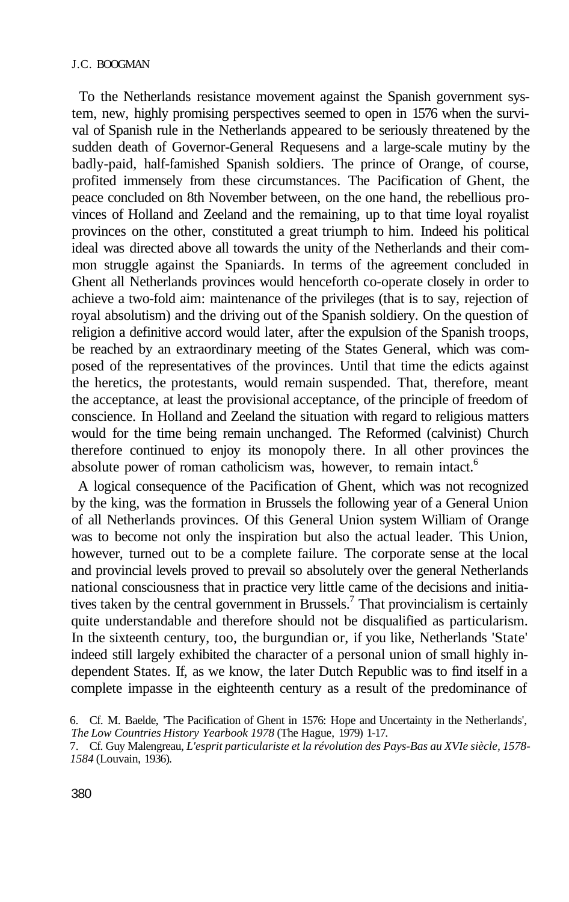To the Netherlands resistance movement against the Spanish government system, new, highly promising perspectives seemed to open in 1576 when the survival of Spanish rule in the Netherlands appeared to be seriously threatened by the sudden death of Governor-General Requesens and a large-scale mutiny by the badly-paid, half-famished Spanish soldiers. The prince of Orange, of course, profited immensely from these circumstances. The Pacification of Ghent, the peace concluded on 8th November between, on the one hand, the rebellious provinces of Holland and Zeeland and the remaining, up to that time loyal royalist provinces on the other, constituted a great triumph to him. Indeed his political ideal was directed above all towards the unity of the Netherlands and their common struggle against the Spaniards. In terms of the agreement concluded in Ghent all Netherlands provinces would henceforth co-operate closely in order to achieve a two-fold aim: maintenance of the privileges (that is to say, rejection of royal absolutism) and the driving out of the Spanish soldiery. On the question of religion a definitive accord would later, after the expulsion of the Spanish troops, be reached by an extraordinary meeting of the States General, which was composed of the representatives of the provinces. Until that time the edicts against the heretics, the protestants, would remain suspended. That, therefore, meant the acceptance, at least the provisional acceptance, of the principle of freedom of conscience. In Holland and Zeeland the situation with regard to religious matters would for the time being remain unchanged. The Reformed (calvinist) Church therefore continued to enjoy its monopoly there. In all other provinces the absolute power of roman catholicism was, however, to remain intact.<sup>6</sup>

A logical consequence of the Pacification of Ghent, which was not recognized by the king, was the formation in Brussels the following year of a General Union of all Netherlands provinces. Of this General Union system William of Orange was to become not only the inspiration but also the actual leader. This Union, however, turned out to be a complete failure. The corporate sense at the local and provincial levels proved to prevail so absolutely over the general Netherlands national consciousness that in practice very little came of the decisions and initiatives taken by the central government in Brussels.<sup>7</sup> That provincialism is certainly quite understandable and therefore should not be disqualified as particularism. In the sixteenth century, too, the burgundian or, if you like, Netherlands 'State' indeed still largely exhibited the character of a personal union of small highly independent States. If, as we know, the later Dutch Republic was to find itself in a complete impasse in the eighteenth century as a result of the predominance of

<sup>6.</sup> Cf. M. Baelde, 'The Pacification of Ghent in 1576: Hope and Uncertainty in the Netherlands', *The Low Countries History Yearbook 1978* (The Hague, 1979) 1-17.

<sup>7.</sup> Cf. Guy Malengreau, *L'esprit particulariste et la révolution des Pays-Bas au XVIe siècle, 1578- 1584* (Louvain, 1936).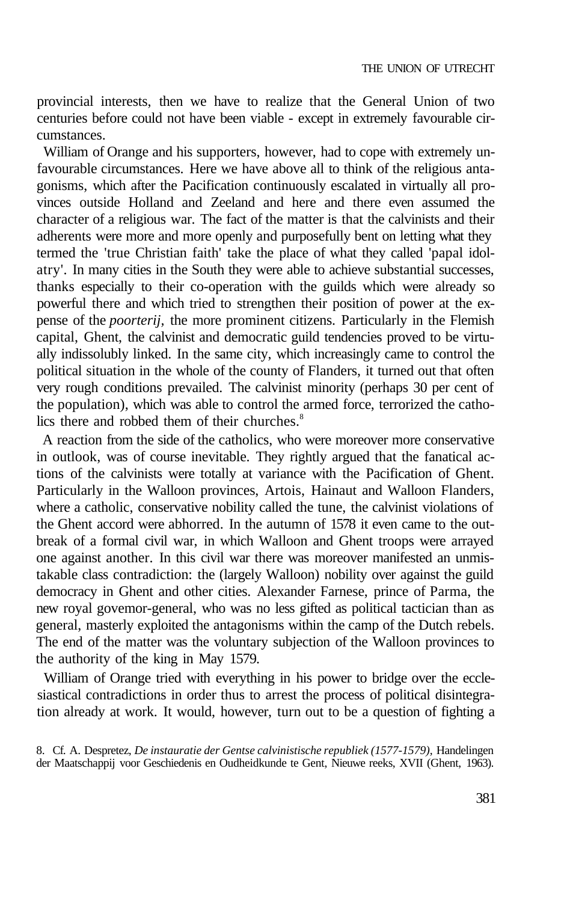provincial interests, then we have to realize that the General Union of two centuries before could not have been viable - except in extremely favourable circumstances.

William of Orange and his supporters, however, had to cope with extremely unfavourable circumstances. Here we have above all to think of the religious antagonisms, which after the Pacification continuously escalated in virtually all provinces outside Holland and Zeeland and here and there even assumed the character of a religious war. The fact of the matter is that the calvinists and their adherents were more and more openly and purposefully bent on letting what they termed the 'true Christian faith' take the place of what they called 'papal idolatry'. In many cities in the South they were able to achieve substantial successes, thanks especially to their co-operation with the guilds which were already so powerful there and which tried to strengthen their position of power at the expense of the *poorterij,* the more prominent citizens. Particularly in the Flemish capital, Ghent, the calvinist and democratic guild tendencies proved to be virtually indissolubly linked. In the same city, which increasingly came to control the political situation in the whole of the county of Flanders, it turned out that often very rough conditions prevailed. The calvinist minority (perhaps 30 per cent of the population), which was able to control the armed force, terrorized the catholics there and robbed them of their churches.<sup>8</sup>

A reaction from the side of the catholics, who were moreover more conservative in outlook, was of course inevitable. They rightly argued that the fanatical actions of the calvinists were totally at variance with the Pacification of Ghent. Particularly in the Walloon provinces, Artois, Hainaut and Walloon Flanders, where a catholic, conservative nobility called the tune, the calvinist violations of the Ghent accord were abhorred. In the autumn of 1578 it even came to the outbreak of a formal civil war, in which Walloon and Ghent troops were arrayed one against another. In this civil war there was moreover manifested an unmistakable class contradiction: the (largely Walloon) nobility over against the guild democracy in Ghent and other cities. Alexander Farnese, prince of Parma, the new royal govemor-general, who was no less gifted as political tactician than as general, masterly exploited the antagonisms within the camp of the Dutch rebels. The end of the matter was the voluntary subjection of the Walloon provinces to the authority of the king in May 1579.

William of Orange tried with everything in his power to bridge over the ecclesiastical contradictions in order thus to arrest the process of political disintegration already at work. It would, however, turn out to be a question of fighting a

8. Cf. A. Despretez, *De instauratie der Gentse calvinistische republiek (1577-1579),* Handelingen der Maatschappij voor Geschiedenis en Oudheidkunde te Gent, Nieuwe reeks, XVII (Ghent, 1963).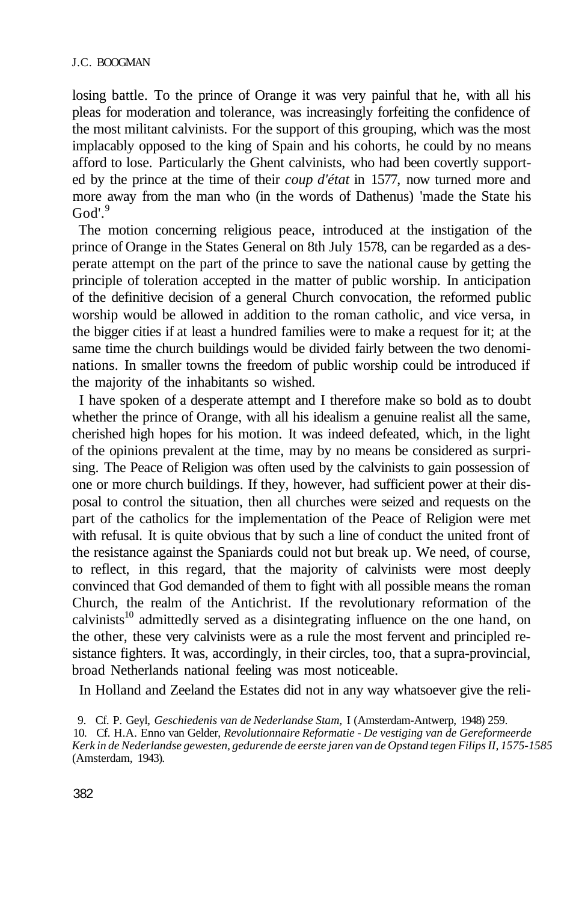losing battle. To the prince of Orange it was very painful that he, with all his pleas for moderation and tolerance, was increasingly forfeiting the confidence of the most militant calvinists. For the support of this grouping, which was the most implacably opposed to the king of Spain and his cohorts, he could by no means afford to lose. Particularly the Ghent calvinists, who had been covertly supported by the prince at the time of their *coup d'état* in 1577, now turned more and more away from the man who (in the words of Dathenus) 'made the State his  $God'$ <sup>9</sup>

The motion concerning religious peace, introduced at the instigation of the prince of Orange in the States General on 8th July 1578, can be regarded as a desperate attempt on the part of the prince to save the national cause by getting the principle of toleration accepted in the matter of public worship. In anticipation of the definitive decision of a general Church convocation, the reformed public worship would be allowed in addition to the roman catholic, and vice versa, in the bigger cities if at least a hundred families were to make a request for it; at the same time the church buildings would be divided fairly between the two denominations. In smaller towns the freedom of public worship could be introduced if the majority of the inhabitants so wished.

I have spoken of a desperate attempt and I therefore make so bold as to doubt whether the prince of Orange, with all his idealism a genuine realist all the same, cherished high hopes for his motion. It was indeed defeated, which, in the light of the opinions prevalent at the time, may by no means be considered as surprising. The Peace of Religion was often used by the calvinists to gain possession of one or more church buildings. If they, however, had sufficient power at their disposal to control the situation, then all churches were seized and requests on the part of the catholics for the implementation of the Peace of Religion were met with refusal. It is quite obvious that by such a line of conduct the united front of the resistance against the Spaniards could not but break up. We need, of course, to reflect, in this regard, that the majority of calvinists were most deeply convinced that God demanded of them to fight with all possible means the roman Church, the realm of the Antichrist. If the revolutionary reformation of the calvinists<sup>10</sup> admittedly served as a disintegrating influence on the one hand, on the other, these very calvinists were as a rule the most fervent and principled resistance fighters. It was, accordingly, in their circles, too, that a supra-provincial, broad Netherlands national feeling was most noticeable.

In Holland and Zeeland the Estates did not in any way whatsoever give the reli-

<sup>9.</sup> Cf. P. Geyl, *Geschiedenis van de Nederlandse Stam,* I (Amsterdam-Antwerp, 1948) 259.

<sup>10.</sup> Cf. H.A. Enno van Gelder, *Revolutionnaire Reformatie - De vestiging van de Gereformeerde Kerk in de Nederlandse gewesten, gedurende de eerste jaren van de Opstand tegen Filips II, 1575-1585*  (Amsterdam, 1943).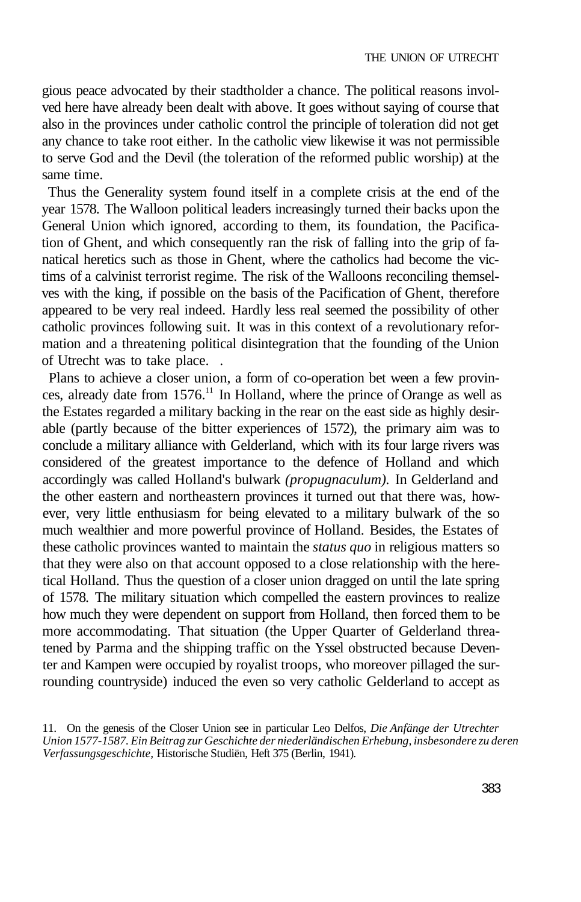gious peace advocated by their stadtholder a chance. The political reasons involved here have already been dealt with above. It goes without saying of course that also in the provinces under catholic control the principle of toleration did not get any chance to take root either. In the catholic view likewise it was not permissible to serve God and the Devil (the toleration of the reformed public worship) at the same time.

Thus the Generality system found itself in a complete crisis at the end of the year 1578. The Walloon political leaders increasingly turned their backs upon the General Union which ignored, according to them, its foundation, the Pacification of Ghent, and which consequently ran the risk of falling into the grip of fanatical heretics such as those in Ghent, where the catholics had become the victims of a calvinist terrorist regime. The risk of the Walloons reconciling themselves with the king, if possible on the basis of the Pacification of Ghent, therefore appeared to be very real indeed. Hardly less real seemed the possibility of other catholic provinces following suit. It was in this context of a revolutionary reformation and a threatening political disintegration that the founding of the Union of Utrecht was to take place. .

Plans to achieve a closer union, a form of co-operation bet ween a few provinces, already date from  $1576$ .<sup>11</sup> In Holland, where the prince of Orange as well as the Estates regarded a military backing in the rear on the east side as highly desirable (partly because of the bitter experiences of 1572), the primary aim was to conclude a military alliance with Gelderland, which with its four large rivers was considered of the greatest importance to the defence of Holland and which accordingly was called Holland's bulwark *(propugnaculum).* In Gelderland and the other eastern and northeastern provinces it turned out that there was, however, very little enthusiasm for being elevated to a military bulwark of the so much wealthier and more powerful province of Holland. Besides, the Estates of these catholic provinces wanted to maintain the *status quo* in religious matters so that they were also on that account opposed to a close relationship with the heretical Holland. Thus the question of a closer union dragged on until the late spring of 1578. The military situation which compelled the eastern provinces to realize how much they were dependent on support from Holland, then forced them to be more accommodating. That situation (the Upper Quarter of Gelderland threatened by Parma and the shipping traffic on the Yssel obstructed because Deventer and Kampen were occupied by royalist troops, who moreover pillaged the surrounding countryside) induced the even so very catholic Gelderland to accept as

<sup>11.</sup> On the genesis of the Closer Union see in particular Leo Delfos, *Die Anfänge der Utrechter Union 1577-1587. Ein Beitrag zur Geschichte der niederländischen Erhebung, insbesondere zu deren Verfassungsgeschichte,* Historische Studiën, Heft 375 (Berlin, 1941).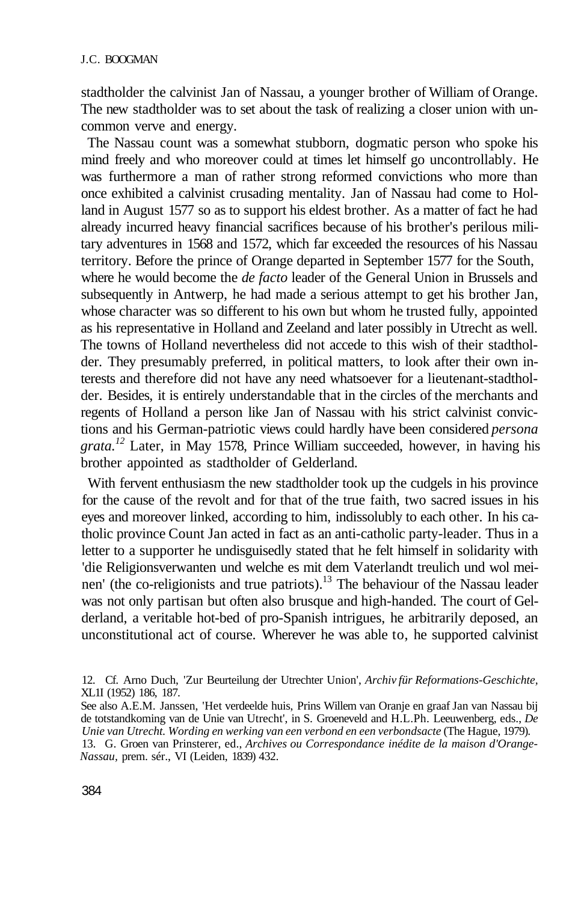stadtholder the calvinist Jan of Nassau, a younger brother of William of Orange. The new stadtholder was to set about the task of realizing a closer union with uncommon verve and energy.

The Nassau count was a somewhat stubborn, dogmatic person who spoke his mind freely and who moreover could at times let himself go uncontrollably. He was furthermore a man of rather strong reformed convictions who more than once exhibited a calvinist crusading mentality. Jan of Nassau had come to Holland in August 1577 so as to support his eldest brother. As a matter of fact he had already incurred heavy financial sacrifices because of his brother's perilous military adventures in 1568 and 1572, which far exceeded the resources of his Nassau territory. Before the prince of Orange departed in September 1577 for the South, where he would become the *de facto* leader of the General Union in Brussels and subsequently in Antwerp, he had made a serious attempt to get his brother Jan, whose character was so different to his own but whom he trusted fully, appointed as his representative in Holland and Zeeland and later possibly in Utrecht as well. The towns of Holland nevertheless did not accede to this wish of their stadtholder. They presumably preferred, in political matters, to look after their own interests and therefore did not have any need whatsoever for a lieutenant-stadtholder. Besides, it is entirely understandable that in the circles of the merchants and regents of Holland a person like Jan of Nassau with his strict calvinist convictions and his German-patriotic views could hardly have been considered *persona grata.<sup>1</sup><sup>2</sup>* Later, in May 1578, Prince William succeeded, however, in having his brother appointed as stadtholder of Gelderland.

With fervent enthusiasm the new stadtholder took up the cudgels in his province for the cause of the revolt and for that of the true faith, two sacred issues in his eyes and moreover linked, according to him, indissolubly to each other. In his catholic province Count Jan acted in fact as an anti-catholic party-leader. Thus in a letter to a supporter he undisguisedly stated that he felt himself in solidarity with 'die Religionsverwanten und welche es mit dem Vaterlandt treulich und wol meinen' (the co-religionists and true patriots).<sup>13</sup> The behaviour of the Nassau leader was not only partisan but often also brusque and high-handed. The court of Gelderland, a veritable hot-bed of pro-Spanish intrigues, he arbitrarily deposed, an unconstitutional act of course. Wherever he was able to, he supported calvinist

13. G. Groen van Prinsterer, ed., *Archives ou Correspondance inédite de la maison d'Orange-Nassau,* prem. sér., VI (Leiden, 1839) 432.

<sup>12.</sup> Cf. Arno Duch, 'Zur Beurteilung der Utrechter Union', *Archiv für Reformations-Geschichte,*  XL1I (1952) 186, 187.

See also A.E.M. Janssen, 'Het verdeelde huis, Prins Willem van Oranje en graaf Jan van Nassau bij de totstandkoming van de Unie van Utrecht', in S. Groeneveld and H.L.Ph. Leeuwenberg, eds., *De Unie van Utrecht. Wording en werking van een verbond en een verbondsacte* (The Hague, 1979).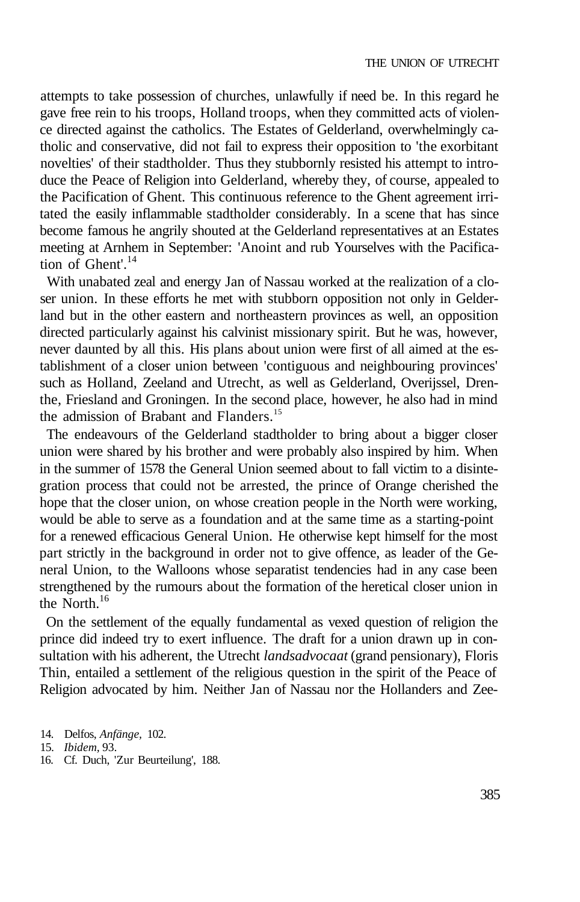attempts to take possession of churches, unlawfully if need be. In this regard he gave free rein to his troops, Holland troops, when they committed acts of violence directed against the catholics. The Estates of Gelderland, overwhelmingly catholic and conservative, did not fail to express their opposition to 'the exorbitant novelties' of their stadtholder. Thus they stubbornly resisted his attempt to introduce the Peace of Religion into Gelderland, whereby they, of course, appealed to the Pacification of Ghent. This continuous reference to the Ghent agreement irritated the easily inflammable stadtholder considerably. In a scene that has since become famous he angrily shouted at the Gelderland representatives at an Estates meeting at Arnhem in September: 'Anoint and rub Yourselves with the Pacification of Ghent'.<sup>14</sup>

With unabated zeal and energy Jan of Nassau worked at the realization of a closer union. In these efforts he met with stubborn opposition not only in Gelderland but in the other eastern and northeastern provinces as well, an opposition directed particularly against his calvinist missionary spirit. But he was, however, never daunted by all this. His plans about union were first of all aimed at the establishment of a closer union between 'contiguous and neighbouring provinces' such as Holland, Zeeland and Utrecht, as well as Gelderland, Overijssel, Drenthe, Friesland and Groningen. In the second place, however, he also had in mind the admission of Brabant and Flanders.<sup>15</sup>

The endeavours of the Gelderland stadtholder to bring about a bigger closer union were shared by his brother and were probably also inspired by him. When in the summer of 1578 the General Union seemed about to fall victim to a disintegration process that could not be arrested, the prince of Orange cherished the hope that the closer union, on whose creation people in the North were working, would be able to serve as a foundation and at the same time as a starting-point for a renewed efficacious General Union. He otherwise kept himself for the most part strictly in the background in order not to give offence, as leader of the General Union, to the Walloons whose separatist tendencies had in any case been strengthened by the rumours about the formation of the heretical closer union in the North.<sup>16</sup>

On the settlement of the equally fundamental as vexed question of religion the prince did indeed try to exert influence. The draft for a union drawn up in consultation with his adherent, the Utrecht *landsadvocaat* (grand pensionary), Floris Thin, entailed a settlement of the religious question in the spirit of the Peace of Religion advocated by him. Neither Jan of Nassau nor the Hollanders and Zee-

16. Cf. Duch, 'Zur Beurteilung', 188.

<sup>14.</sup> Delfos, *Anfänge,* 102.

<sup>15.</sup> *Ibidem,* 93.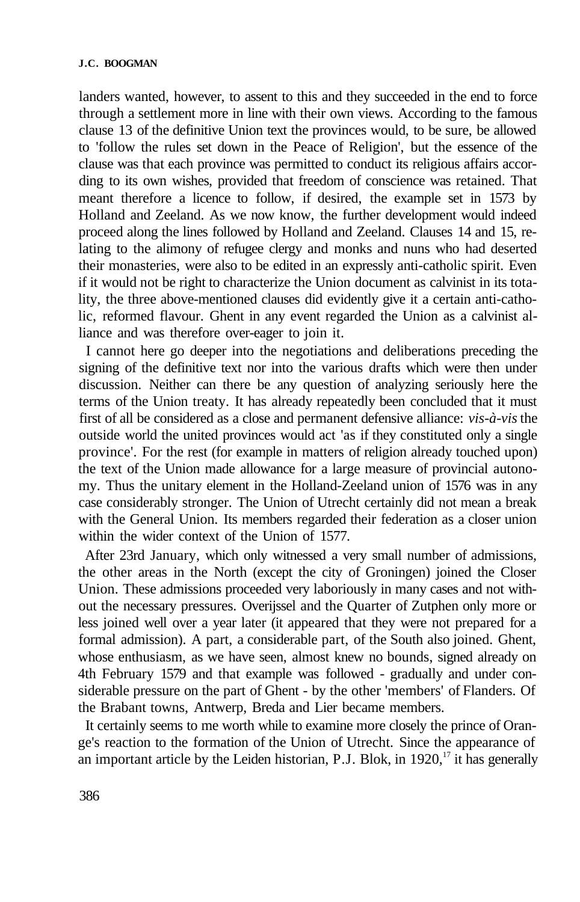landers wanted, however, to assent to this and they succeeded in the end to force through a settlement more in line with their own views. According to the famous clause 13 of the definitive Union text the provinces would, to be sure, be allowed to 'follow the rules set down in the Peace of Religion', but the essence of the clause was that each province was permitted to conduct its religious affairs according to its own wishes, provided that freedom of conscience was retained. That meant therefore a licence to follow, if desired, the example set in 1573 by Holland and Zeeland. As we now know, the further development would indeed proceed along the lines followed by Holland and Zeeland. Clauses 14 and 15, relating to the alimony of refugee clergy and monks and nuns who had deserted their monasteries, were also to be edited in an expressly anti-catholic spirit. Even if it would not be right to characterize the Union document as calvinist in its totality, the three above-mentioned clauses did evidently give it a certain anti-catholic, reformed flavour. Ghent in any event regarded the Union as a calvinist alliance and was therefore over-eager to join it.

I cannot here go deeper into the negotiations and deliberations preceding the signing of the definitive text nor into the various drafts which were then under discussion. Neither can there be any question of analyzing seriously here the terms of the Union treaty. It has already repeatedly been concluded that it must first of all be considered as a close and permanent defensive alliance: *vis-à-vis* the outside world the united provinces would act 'as if they constituted only a single province'. For the rest (for example in matters of religion already touched upon) the text of the Union made allowance for a large measure of provincial autonomy. Thus the unitary element in the Holland-Zeeland union of 1576 was in any case considerably stronger. The Union of Utrecht certainly did not mean a break with the General Union. Its members regarded their federation as a closer union within the wider context of the Union of 1577.

After 23rd January, which only witnessed a very small number of admissions, the other areas in the North (except the city of Groningen) joined the Closer Union. These admissions proceeded very laboriously in many cases and not without the necessary pressures. Overijssel and the Quarter of Zutphen only more or less joined well over a year later (it appeared that they were not prepared for a formal admission). A part, a considerable part, of the South also joined. Ghent, whose enthusiasm, as we have seen, almost knew no bounds, signed already on 4th February 1579 and that example was followed - gradually and under considerable pressure on the part of Ghent - by the other 'members' of Flanders. Of the Brabant towns, Antwerp, Breda and Lier became members.

It certainly seems to me worth while to examine more closely the prince of Orange's reaction to the formation of the Union of Utrecht. Since the appearance of an important article by the Leiden historian, P.J. Blok, in  $1920$ ,  $\frac{17}{11}$  has generally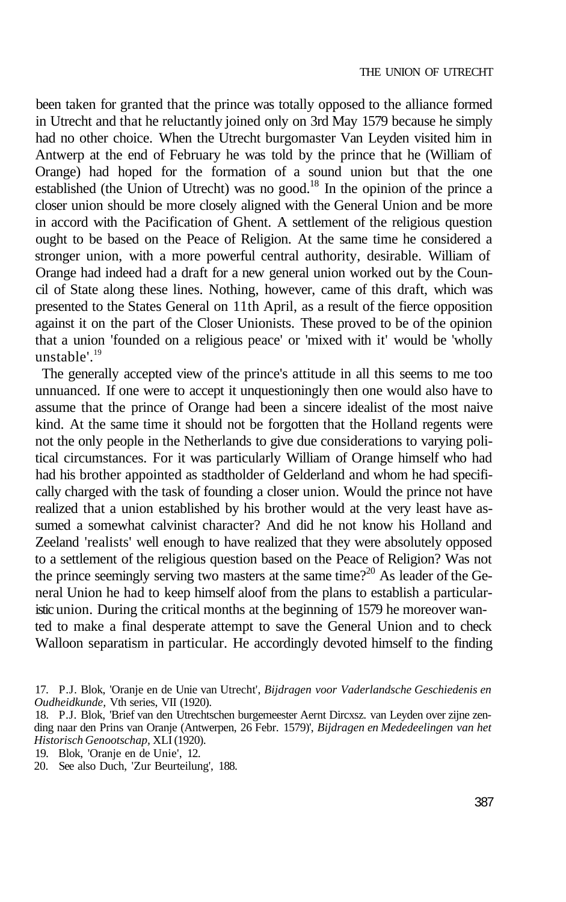been taken for granted that the prince was totally opposed to the alliance formed in Utrecht and that he reluctantly joined only on 3rd May 1579 because he simply had no other choice. When the Utrecht burgomaster Van Leyden visited him in Antwerp at the end of February he was told by the prince that he (William of Orange) had hoped for the formation of a sound union but that the one established (the Union of Utrecht) was no good.<sup>18</sup> In the opinion of the prince a closer union should be more closely aligned with the General Union and be more in accord with the Pacification of Ghent. A settlement of the religious question ought to be based on the Peace of Religion. At the same time he considered a stronger union, with a more powerful central authority, desirable. William of Orange had indeed had a draft for a new general union worked out by the Council of State along these lines. Nothing, however, came of this draft, which was presented to the States General on 11th April, as a result of the fierce opposition against it on the part of the Closer Unionists. These proved to be of the opinion that a union 'founded on a religious peace' or 'mixed with it' would be 'wholly unstable'. $19$ 

The generally accepted view of the prince's attitude in all this seems to me too unnuanced. If one were to accept it unquestioningly then one would also have to assume that the prince of Orange had been a sincere idealist of the most naive kind. At the same time it should not be forgotten that the Holland regents were not the only people in the Netherlands to give due considerations to varying political circumstances. For it was particularly William of Orange himself who had had his brother appointed as stadtholder of Gelderland and whom he had specifically charged with the task of founding a closer union. Would the prince not have realized that a union established by his brother would at the very least have assumed a somewhat calvinist character? And did he not know his Holland and Zeeland 'realists' well enough to have realized that they were absolutely opposed to a settlement of the religious question based on the Peace of Religion? Was not the prince seemingly serving two masters at the same time?<sup>20</sup> As leader of the General Union he had to keep himself aloof from the plans to establish a particularistic union. During the critical months at the beginning of 1579 he moreover wanted to make a final desperate attempt to save the General Union and to check Walloon separatism in particular. He accordingly devoted himself to the finding

<sup>17.</sup> P.J. Blok, 'Oranje en de Unie van Utrecht', *Bijdragen voor Vaderlandsche Geschiedenis en Oudheidkunde,* Vth series, VII (1920).

<sup>18.</sup> P.J. Blok, 'Brief van den Utrechtschen burgemeester Aernt Dircxsz. van Leyden over zijne zending naar den Prins van Oranje (Antwerpen, 26 Febr. 1579)', *Bijdragen en Mededeelingen van het Historisch Genootschap,* XLI (1920).

<sup>19.</sup> Blok, 'Oranje en de Unie', 12.

<sup>20.</sup> See also Duch, 'Zur Beurteilung', 188.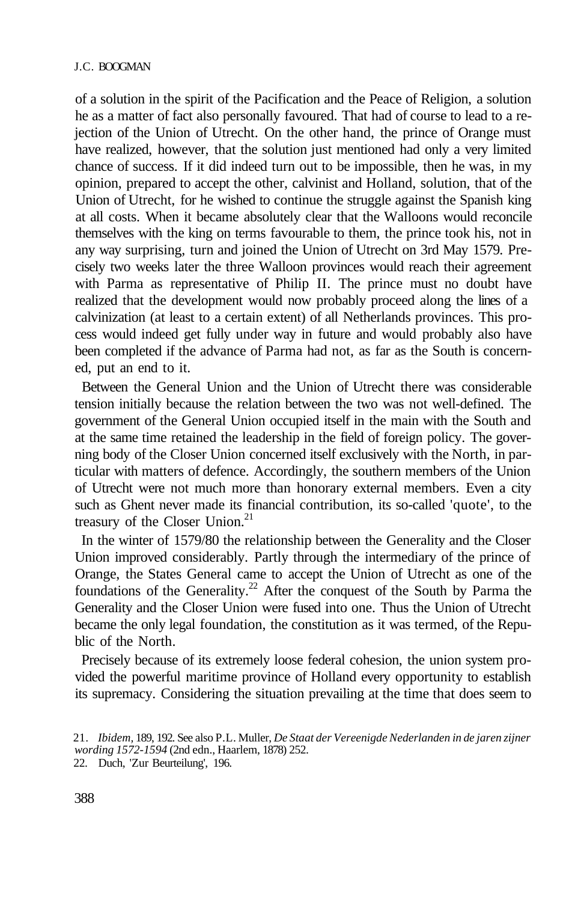of a solution in the spirit of the Pacification and the Peace of Religion, a solution he as a matter of fact also personally favoured. That had of course to lead to a rejection of the Union of Utrecht. On the other hand, the prince of Orange must have realized, however, that the solution just mentioned had only a very limited chance of success. If it did indeed turn out to be impossible, then he was, in my opinion, prepared to accept the other, calvinist and Holland, solution, that of the Union of Utrecht, for he wished to continue the struggle against the Spanish king at all costs. When it became absolutely clear that the Walloons would reconcile themselves with the king on terms favourable to them, the prince took his, not in any way surprising, turn and joined the Union of Utrecht on 3rd May 1579. Precisely two weeks later the three Walloon provinces would reach their agreement with Parma as representative of Philip II. The prince must no doubt have realized that the development would now probably proceed along the lines of a calvinization (at least to a certain extent) of all Netherlands provinces. This process would indeed get fully under way in future and would probably also have been completed if the advance of Parma had not, as far as the South is concerned, put an end to it.

Between the General Union and the Union of Utrecht there was considerable tension initially because the relation between the two was not well-defined. The government of the General Union occupied itself in the main with the South and at the same time retained the leadership in the field of foreign policy. The governing body of the Closer Union concerned itself exclusively with the North, in particular with matters of defence. Accordingly, the southern members of the Union of Utrecht were not much more than honorary external members. Even a city such as Ghent never made its financial contribution, its so-called 'quote', to the treasury of the Closer Union.<sup>21</sup>

In the winter of 1579/80 the relationship between the Generality and the Closer Union improved considerably. Partly through the intermediary of the prince of Orange, the States General came to accept the Union of Utrecht as one of the foundations of the Generality.<sup>22</sup> After the conquest of the South by Parma the Generality and the Closer Union were fused into one. Thus the Union of Utrecht became the only legal foundation, the constitution as it was termed, of the Republic of the North.

Precisely because of its extremely loose federal cohesion, the union system provided the powerful maritime province of Holland every opportunity to establish its supremacy. Considering the situation prevailing at the time that does seem to

<sup>21.</sup> *Ibidem,* 189, 192. See also P.L. Muller, *De Staat der Vereenigde Nederlanden in de jaren zijner wording 1572-1594* (2nd edn., Haarlem, 1878) 252.

<sup>22.</sup> Duch, 'Zur Beurteilung', 196.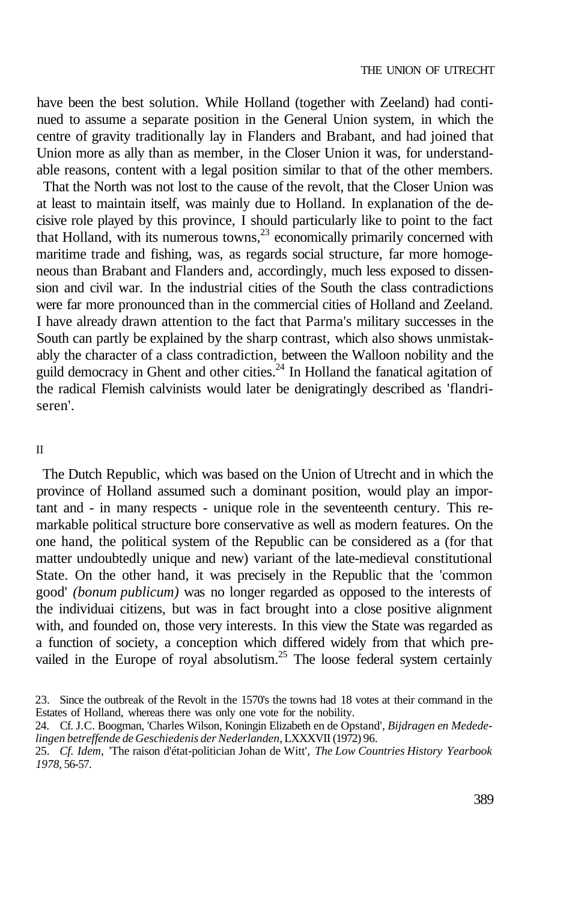have been the best solution. While Holland (together with Zeeland) had continued to assume a separate position in the General Union system, in which the centre of gravity traditionally lay in Flanders and Brabant, and had joined that Union more as ally than as member, in the Closer Union it was, for understandable reasons, content with a legal position similar to that of the other members.

That the North was not lost to the cause of the revolt, that the Closer Union was at least to maintain itself, was mainly due to Holland. In explanation of the decisive role played by this province, I should particularly like to point to the fact that Holland, with its numerous towns, $^{23}$  economically primarily concerned with maritime trade and fishing, was, as regards social structure, far more homogeneous than Brabant and Flanders and, accordingly, much less exposed to dissension and civil war. In the industrial cities of the South the class contradictions were far more pronounced than in the commercial cities of Holland and Zeeland. I have already drawn attention to the fact that Parma's military successes in the South can partly be explained by the sharp contrast, which also shows unmistakably the character of a class contradiction, between the Walloon nobility and the guild democracy in Ghent and other cities.<sup>24</sup> In Holland the fanatical agitation of the radical Flemish calvinists would later be denigratingly described as 'flandriseren'.

#### II

The Dutch Republic, which was based on the Union of Utrecht and in which the province of Holland assumed such a dominant position, would play an important and - in many respects - unique role in the seventeenth century. This remarkable political structure bore conservative as well as modern features. On the one hand, the political system of the Republic can be considered as a (for that matter undoubtedly unique and new) variant of the late-medieval constitutional State. On the other hand, it was precisely in the Republic that the 'common good' *(bonum publicum)* was no longer regarded as opposed to the interests of the individuai citizens, but was in fact brought into a close positive alignment with, and founded on, those very interests. In this view the State was regarded as a function of society, a conception which differed widely from that which prevailed in the Europe of royal absolutism.<sup>25</sup> The loose federal system certainly

24. Cf. J.C. Boogman, 'Charles Wilson, Koningin Elizabeth en de Opstand', *Bijdragen en Mededelingen betreffende de Geschiedenis der Nederlanden,* LXXXVII (1972) 96.

<sup>23.</sup> Since the outbreak of the Revolt in the 1570's the towns had 18 votes at their command in the Estates of Holland, whereas there was only one vote for the nobility.

<sup>25.</sup> *Cf. Idem,* 'The raison d'état-politician Johan de Witt', *The Low Countries History Yearbook 1978,* 56-57.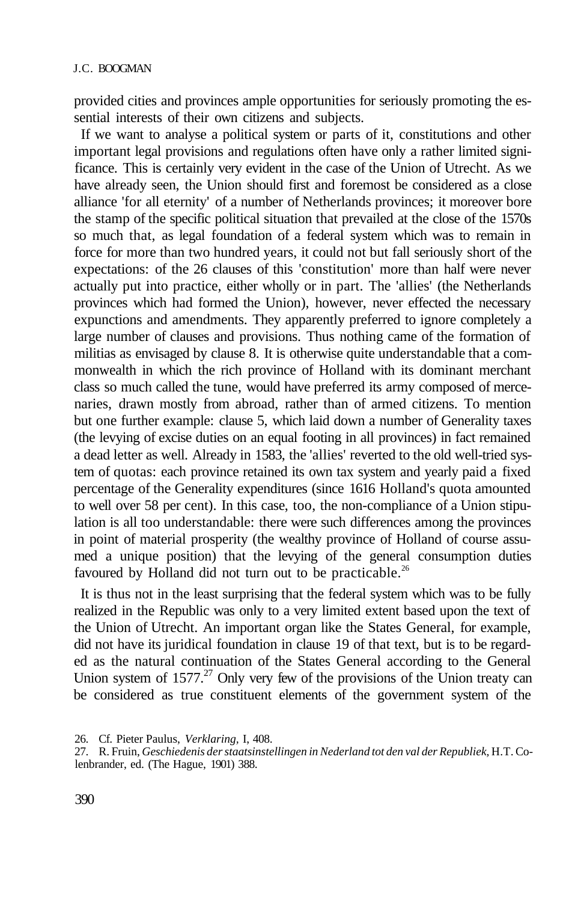provided cities and provinces ample opportunities for seriously promoting the essential interests of their own citizens and subjects.

If we want to analyse a political system or parts of it, constitutions and other important legal provisions and regulations often have only a rather limited significance. This is certainly very evident in the case of the Union of Utrecht. As we have already seen, the Union should first and foremost be considered as a close alliance 'for all eternity' of a number of Netherlands provinces; it moreover bore the stamp of the specific political situation that prevailed at the close of the 1570s so much that, as legal foundation of a federal system which was to remain in force for more than two hundred years, it could not but fall seriously short of the expectations: of the 26 clauses of this 'constitution' more than half were never actually put into practice, either wholly or in part. The 'allies' (the Netherlands provinces which had formed the Union), however, never effected the necessary expunctions and amendments. They apparently preferred to ignore completely a large number of clauses and provisions. Thus nothing came of the formation of militias as envisaged by clause 8. It is otherwise quite understandable that a commonwealth in which the rich province of Holland with its dominant merchant class so much called the tune, would have preferred its army composed of mercenaries, drawn mostly from abroad, rather than of armed citizens. To mention but one further example: clause 5, which laid down a number of Generality taxes (the levying of excise duties on an equal footing in all provinces) in fact remained a dead letter as well. Already in 1583, the 'allies' reverted to the old well-tried system of quotas: each province retained its own tax system and yearly paid a fixed percentage of the Generality expenditures (since 1616 Holland's quota amounted to well over 58 per cent). In this case, too, the non-compliance of a Union stipulation is all too understandable: there were such differences among the provinces in point of material prosperity (the wealthy province of Holland of course assumed a unique position) that the levying of the general consumption duties favoured by Holland did not turn out to be practicable.<sup>26</sup>

It is thus not in the least surprising that the federal system which was to be fully realized in the Republic was only to a very limited extent based upon the text of the Union of Utrecht. An important organ like the States General, for example, did not have its juridical foundation in clause 19 of that text, but is to be regarded as the natural continuation of the States General according to the General Union system of  $1577<sup>27</sup>$  Only very few of the provisions of the Union treaty can be considered as true constituent elements of the government system of the

<sup>26.</sup> Cf. Pieter Paulus, *Verklaring,* I, 408.

<sup>27.</sup> R. Fruin, *Geschiedenis der staatsinstellingen in Nederland tot den val der Republiek,* H.T. Colenbrander, ed. (The Hague, 1901) 388.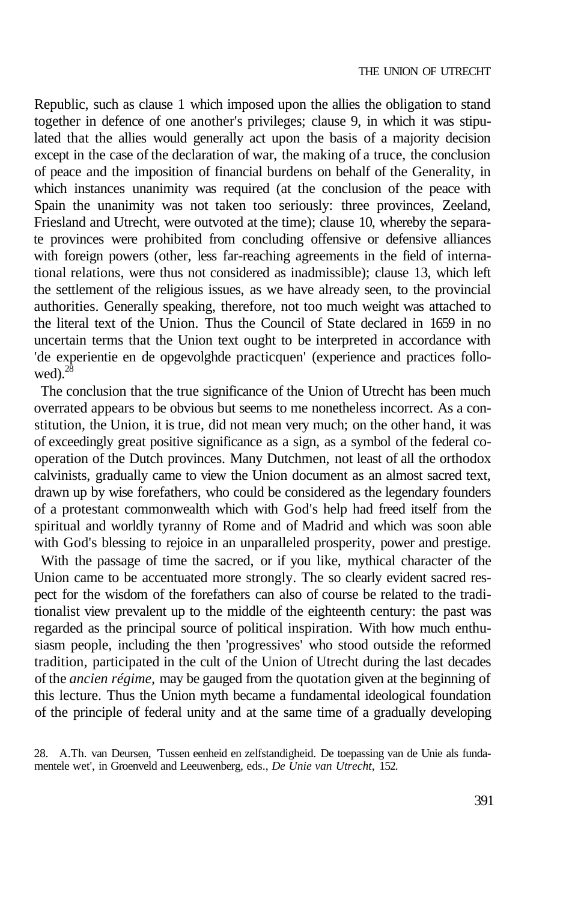Republic, such as clause 1 which imposed upon the allies the obligation to stand together in defence of one another's privileges; clause 9, in which it was stipulated that the allies would generally act upon the basis of a majority decision except in the case of the declaration of war, the making of a truce, the conclusion of peace and the imposition of financial burdens on behalf of the Generality, in which instances unanimity was required (at the conclusion of the peace with Spain the unanimity was not taken too seriously: three provinces, Zeeland, Friesland and Utrecht, were outvoted at the time); clause 10, whereby the separate provinces were prohibited from concluding offensive or defensive alliances with foreign powers (other, less far-reaching agreements in the field of international relations, were thus not considered as inadmissible); clause 13, which left the settlement of the religious issues, as we have already seen, to the provincial authorities. Generally speaking, therefore, not too much weight was attached to the literal text of the Union. Thus the Council of State declared in 1659 in no uncertain terms that the Union text ought to be interpreted in accordance with 'de experientie en de opgevolghde practicquen' (experience and practices followed). $2\overline{8}$ 

The conclusion that the true significance of the Union of Utrecht has been much overrated appears to be obvious but seems to me nonetheless incorrect. As a constitution, the Union, it is true, did not mean very much; on the other hand, it was of exceedingly great positive significance as a sign, as a symbol of the federal cooperation of the Dutch provinces. Many Dutchmen, not least of all the orthodox calvinists, gradually came to view the Union document as an almost sacred text, drawn up by wise forefathers, who could be considered as the legendary founders of a protestant commonwealth which with God's help had freed itself from the spiritual and worldly tyranny of Rome and of Madrid and which was soon able with God's blessing to rejoice in an unparalleled prosperity, power and prestige.

With the passage of time the sacred, or if you like, mythical character of the Union came to be accentuated more strongly. The so clearly evident sacred respect for the wisdom of the forefathers can also of course be related to the traditionalist view prevalent up to the middle of the eighteenth century: the past was regarded as the principal source of political inspiration. With how much enthusiasm people, including the then 'progressives' who stood outside the reformed tradition, participated in the cult of the Union of Utrecht during the last decades of the *ancien régime,* may be gauged from the quotation given at the beginning of this lecture. Thus the Union myth became a fundamental ideological foundation of the principle of federal unity and at the same time of a gradually developing

28. A.Th. van Deursen, 'Tussen eenheid en zelfstandigheid. De toepassing van de Unie als fundamentele wet', in Groenveld and Leeuwenberg, eds., *De Unie van Utrecht,* 152.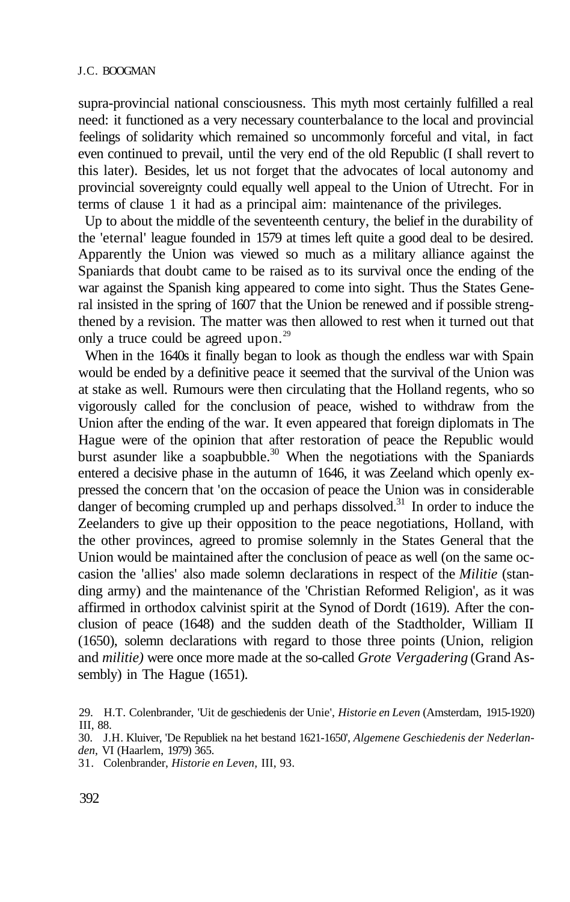supra-provincial national consciousness. This myth most certainly fulfilled a real need: it functioned as a very necessary counterbalance to the local and provincial feelings of solidarity which remained so uncommonly forceful and vital, in fact even continued to prevail, until the very end of the old Republic (I shall revert to this later). Besides, let us not forget that the advocates of local autonomy and provincial sovereignty could equally well appeal to the Union of Utrecht. For in terms of clause 1 it had as a principal aim: maintenance of the privileges.

Up to about the middle of the seventeenth century, the belief in the durability of the 'eternal' league founded in 1579 at times left quite a good deal to be desired. Apparently the Union was viewed so much as a military alliance against the Spaniards that doubt came to be raised as to its survival once the ending of the war against the Spanish king appeared to come into sight. Thus the States General insisted in the spring of 1607 that the Union be renewed and if possible strengthened by a revision. The matter was then allowed to rest when it turned out that only a truce could be agreed upon.<sup>29</sup>

When in the 1640s it finally began to look as though the endless war with Spain would be ended by a definitive peace it seemed that the survival of the Union was at stake as well. Rumours were then circulating that the Holland regents, who so vigorously called for the conclusion of peace, wished to withdraw from the Union after the ending of the war. It even appeared that foreign diplomats in The Hague were of the opinion that after restoration of peace the Republic would burst asunder like a soapbubble.<sup>30</sup> When the negotiations with the Spaniards entered a decisive phase in the autumn of 1646, it was Zeeland which openly expressed the concern that 'on the occasion of peace the Union was in considerable danger of becoming crumpled up and perhaps dissolved.<sup>31</sup> In order to induce the Zeelanders to give up their opposition to the peace negotiations, Holland, with the other provinces, agreed to promise solemnly in the States General that the Union would be maintained after the conclusion of peace as well (on the same occasion the 'allies' also made solemn declarations in respect of the *Militie* (standing army) and the maintenance of the 'Christian Reformed Religion', as it was affirmed in orthodox calvinist spirit at the Synod of Dordt (1619). After the conclusion of peace (1648) and the sudden death of the Stadtholder, William II (1650), solemn declarations with regard to those three points (Union, religion and *militie)* were once more made at the so-called *Grote Vergadering* (Grand Assembly) in The Hague (1651).

<sup>29.</sup> H.T. Colenbrander, 'Uit de geschiedenis der Unie', *Historie en Leven* (Amsterdam, 1915-1920) III, 88.

<sup>30.</sup> J.H. Kluiver, 'De Republiek na het bestand 1621-1650', *Algemene Geschiedenis der Nederlanden,* VI (Haarlem, 1979) 365.

<sup>31.</sup> Colenbrander, *Historie en Leven,* III, 93.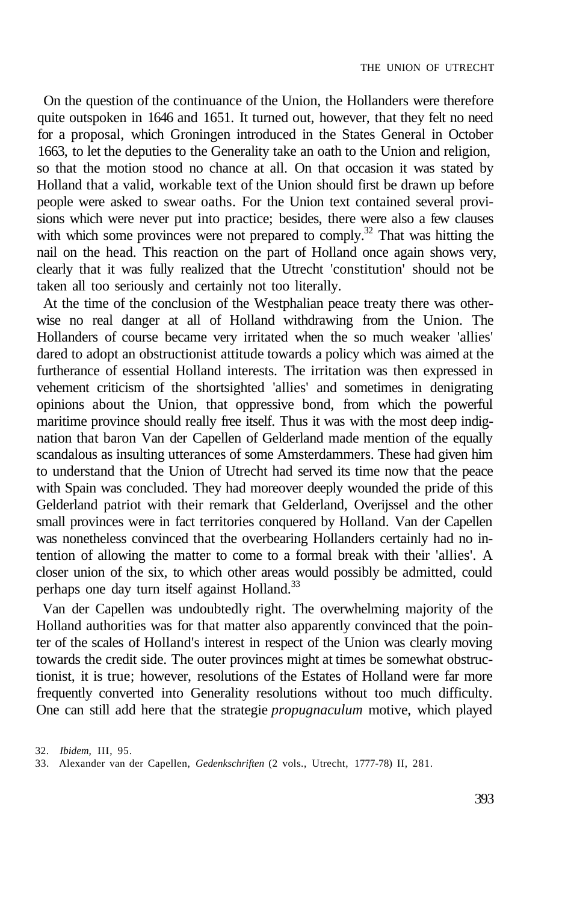On the question of the continuance of the Union, the Hollanders were therefore quite outspoken in 1646 and 1651. It turned out, however, that they felt no need for a proposal, which Groningen introduced in the States General in October 1663, to let the deputies to the Generality take an oath to the Union and religion, so that the motion stood no chance at all. On that occasion it was stated by Holland that a valid, workable text of the Union should first be drawn up before people were asked to swear oaths. For the Union text contained several provisions which were never put into practice; besides, there were also a few clauses with which some provinces were not prepared to comply.<sup>32</sup> That was hitting the nail on the head. This reaction on the part of Holland once again shows very, clearly that it was fully realized that the Utrecht 'constitution' should not be taken all too seriously and certainly not too literally.

At the time of the conclusion of the Westphalian peace treaty there was otherwise no real danger at all of Holland withdrawing from the Union. The Hollanders of course became very irritated when the so much weaker 'allies' dared to adopt an obstructionist attitude towards a policy which was aimed at the furtherance of essential Holland interests. The irritation was then expressed in vehement criticism of the shortsighted 'allies' and sometimes in denigrating opinions about the Union, that oppressive bond, from which the powerful maritime province should really free itself. Thus it was with the most deep indignation that baron Van der Capellen of Gelderland made mention of the equally scandalous as insulting utterances of some Amsterdammers. These had given him to understand that the Union of Utrecht had served its time now that the peace with Spain was concluded. They had moreover deeply wounded the pride of this Gelderland patriot with their remark that Gelderland, Overijssel and the other small provinces were in fact territories conquered by Holland. Van der Capellen was nonetheless convinced that the overbearing Hollanders certainly had no intention of allowing the matter to come to a formal break with their 'allies'. A closer union of the six, to which other areas would possibly be admitted, could perhaps one day turn itself against Holland.<sup>33</sup>

Van der Capellen was undoubtedly right. The overwhelming majority of the Holland authorities was for that matter also apparently convinced that the pointer of the scales of Holland's interest in respect of the Union was clearly moving towards the credit side. The outer provinces might at times be somewhat obstructionist, it is true; however, resolutions of the Estates of Holland were far more frequently converted into Generality resolutions without too much difficulty. One can still add here that the strategie *propugnaculum* motive, which played

<sup>32.</sup> *Ibidem,* III, 95.

<sup>33.</sup> Alexander van der Capellen, *Gedenkschriften* (2 vols., Utrecht, 1777-78) II, 281.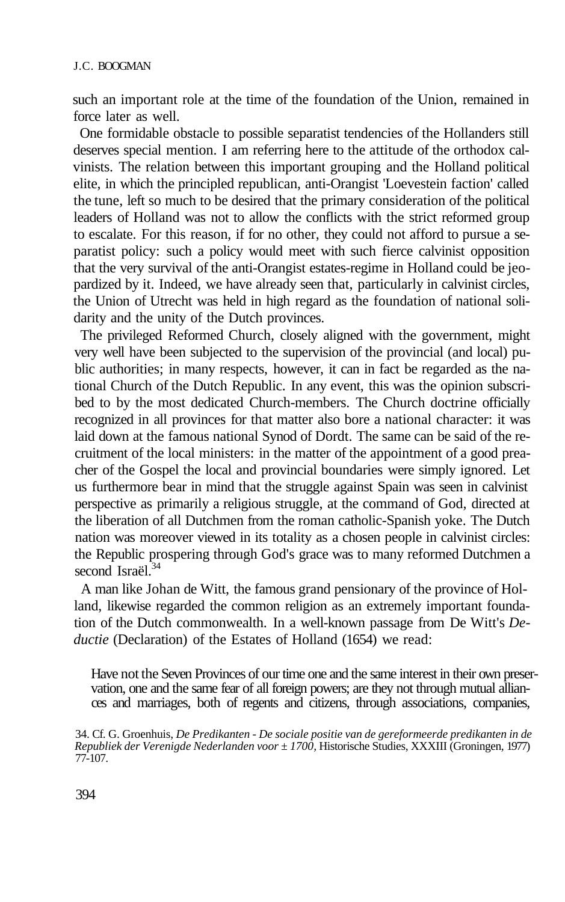#### J.C. BOOGMAN

such an important role at the time of the foundation of the Union, remained in force later as well.

One formidable obstacle to possible separatist tendencies of the Hollanders still deserves special mention. I am referring here to the attitude of the orthodox calvinists. The relation between this important grouping and the Holland political elite, in which the principled republican, anti-Orangist 'Loevestein faction' called the tune, left so much to be desired that the primary consideration of the political leaders of Holland was not to allow the conflicts with the strict reformed group to escalate. For this reason, if for no other, they could not afford to pursue a separatist policy: such a policy would meet with such fierce calvinist opposition that the very survival of the anti-Orangist estates-regime in Holland could be jeopardized by it. Indeed, we have already seen that, particularly in calvinist circles, the Union of Utrecht was held in high regard as the foundation of national solidarity and the unity of the Dutch provinces.

The privileged Reformed Church, closely aligned with the government, might very well have been subjected to the supervision of the provincial (and local) public authorities; in many respects, however, it can in fact be regarded as the national Church of the Dutch Republic. In any event, this was the opinion subscribed to by the most dedicated Church-members. The Church doctrine officially recognized in all provinces for that matter also bore a national character: it was laid down at the famous national Synod of Dordt. The same can be said of the recruitment of the local ministers: in the matter of the appointment of a good preacher of the Gospel the local and provincial boundaries were simply ignored. Let us furthermore bear in mind that the struggle against Spain was seen in calvinist perspective as primarily a religious struggle, at the command of God, directed at the liberation of all Dutchmen from the roman catholic-Spanish yoke. The Dutch nation was moreover viewed in its totality as a chosen people in calvinist circles: the Republic prospering through God's grace was to many reformed Dutchmen a second Israël.<sup>34</sup>

A man like Johan de Witt, the famous grand pensionary of the province of Holland, likewise regarded the common religion as an extremely important foundation of the Dutch commonwealth. In a well-known passage from De Witt's *Deductie* (Declaration) of the Estates of Holland (1654) we read:

Have not the Seven Provinces of our time one and the same interest in their own preservation, one and the same fear of all foreign powers; are they not through mutual alliances and marriages, both of regents and citizens, through associations, companies,

<sup>34.</sup> Cf. G. Groenhuis, *De Predikanten* - *De sociale positie van de gereformeerde predikanten in de Republiek der Verenigde Nederlanden voor ± 1700,* Historische Studies, XXXIII (Groningen, 1977) 77-107.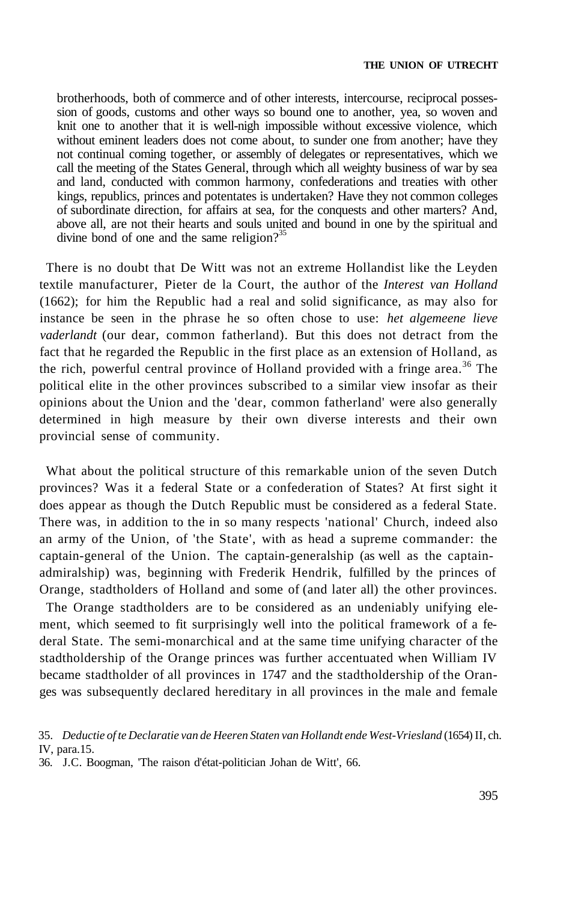brotherhoods, both of commerce and of other interests, intercourse, reciprocal possession of goods, customs and other ways so bound one to another, yea, so woven and knit one to another that it is well-nigh impossible without excessive violence, which without eminent leaders does not come about, to sunder one from another; have they not continual coming together, or assembly of delegates or representatives, which we call the meeting of the States General, through which all weighty business of war by sea and land, conducted with common harmony, confederations and treaties with other kings, republics, princes and potentates is undertaken? Have they not common colleges of subordinate direction, for affairs at sea, for the conquests and other marters? And, above all, are not their hearts and souls united and bound in one by the spiritual and divine bond of one and the same religion? $35$ 

There is no doubt that De Witt was not an extreme Hollandist like the Leyden textile manufacturer, Pieter de la Court, the author of the *Interest van Holland*  (1662); for him the Republic had a real and solid significance, as may also for instance be seen in the phrase he so often chose to use: *het algemeene lieve vaderlandt* (our dear, common fatherland). But this does not detract from the fact that he regarded the Republic in the first place as an extension of Holland, as the rich, powerful central province of Holland provided with a fringe area.<sup>36</sup> The political elite in the other provinces subscribed to a similar view insofar as their opinions about the Union and the 'dear, common fatherland' were also generally determined in high measure by their own diverse interests and their own provincial sense of community.

What about the political structure of this remarkable union of the seven Dutch provinces? Was it a federal State or a confederation of States? At first sight it does appear as though the Dutch Republic must be considered as a federal State. There was, in addition to the in so many respects 'national' Church, indeed also an army of the Union, of 'the State', with as head a supreme commander: the captain-general of the Union. The captain-generalship (as well as the captainadmiralship) was, beginning with Frederik Hendrik, fulfilled by the princes of Orange, stadtholders of Holland and some of (and later all) the other provinces.

The Orange stadtholders are to be considered as an undeniably unifying element, which seemed to fit surprisingly well into the political framework of a federal State. The semi-monarchical and at the same time unifying character of the stadtholdership of the Orange princes was further accentuated when William IV became stadtholder of all provinces in 1747 and the stadtholdership of the Oranges was subsequently declared hereditary in all provinces in the male and female

<sup>35.</sup> *Deductie of te Declaratie van de Heeren Staten van Hollandt ende West-Vriesland* (1654) II, ch. IV, para.15.

<sup>36.</sup> J.C. Boogman, 'The raison d'état-politician Johan de Witt', 66.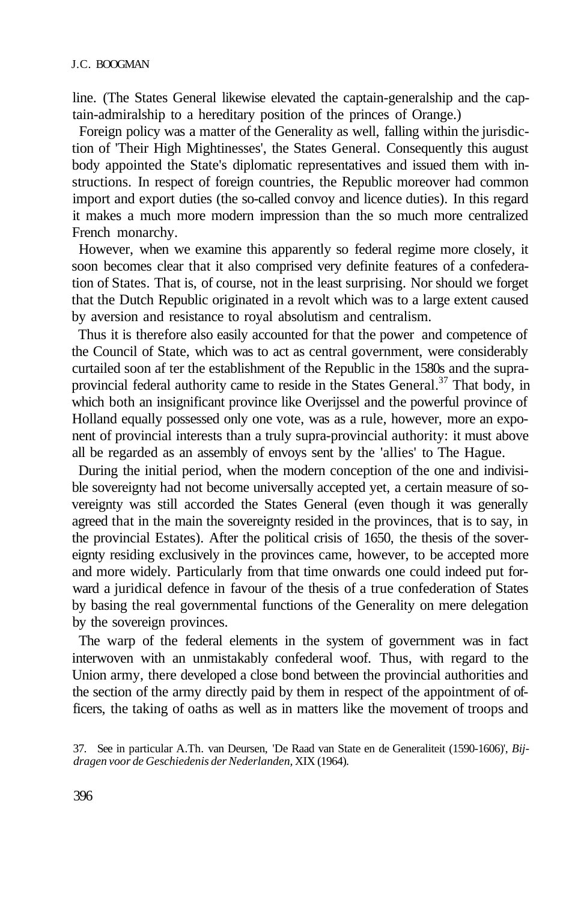line. (The States General likewise elevated the captain-generalship and the captain-admiralship to a hereditary position of the princes of Orange.)

Foreign policy was a matter of the Generality as well, falling within the jurisdiction of 'Their High Mightinesses', the States General. Consequently this august body appointed the State's diplomatic representatives and issued them with instructions. In respect of foreign countries, the Republic moreover had common import and export duties (the so-called convoy and licence duties). In this regard it makes a much more modern impression than the so much more centralized French monarchy.

However, when we examine this apparently so federal regime more closely, it soon becomes clear that it also comprised very definite features of a confederation of States. That is, of course, not in the least surprising. Nor should we forget that the Dutch Republic originated in a revolt which was to a large extent caused by aversion and resistance to royal absolutism and centralism.

Thus it is therefore also easily accounted for that the power and competence of the Council of State, which was to act as central government, were considerably curtailed soon af ter the establishment of the Republic in the 1580s and the supraprovincial federal authority came to reside in the States General.<sup>37</sup> That body, in which both an insignificant province like Overijssel and the powerful province of Holland equally possessed only one vote, was as a rule, however, more an exponent of provincial interests than a truly supra-provincial authority: it must above all be regarded as an assembly of envoys sent by the 'allies' to The Hague.

During the initial period, when the modern conception of the one and indivisible sovereignty had not become universally accepted yet, a certain measure of sovereignty was still accorded the States General (even though it was generally agreed that in the main the sovereignty resided in the provinces, that is to say, in the provincial Estates). After the political crisis of 1650, the thesis of the sovereignty residing exclusively in the provinces came, however, to be accepted more and more widely. Particularly from that time onwards one could indeed put forward a juridical defence in favour of the thesis of a true confederation of States by basing the real governmental functions of the Generality on mere delegation by the sovereign provinces.

The warp of the federal elements in the system of government was in fact interwoven with an unmistakably confederal woof. Thus, with regard to the Union army, there developed a close bond between the provincial authorities and the section of the army directly paid by them in respect of the appointment of officers, the taking of oaths as well as in matters like the movement of troops and

<sup>37.</sup> See in particular A.Th. van Deursen, 'De Raad van State en de Generaliteit (1590-1606)', *Bijdragen voor de Geschiedenis der Nederlanden,* XIX (1964).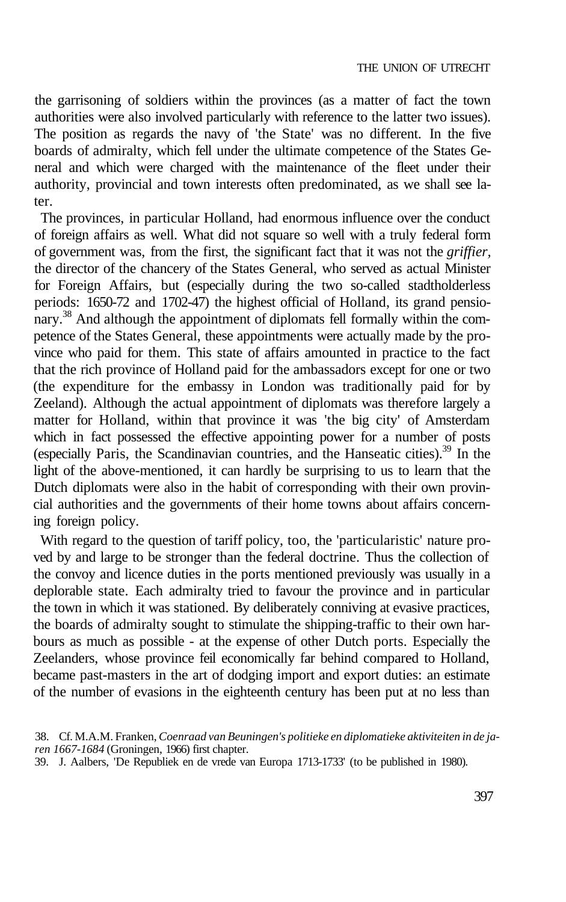the garrisoning of soldiers within the provinces (as a matter of fact the town authorities were also involved particularly with reference to the latter two issues). The position as regards the navy of 'the State' was no different. In the five boards of admiralty, which fell under the ultimate competence of the States General and which were charged with the maintenance of the fleet under their authority, provincial and town interests often predominated, as we shall see later.

The provinces, in particular Holland, had enormous influence over the conduct of foreign affairs as well. What did not square so well with a truly federal form of government was, from the first, the significant fact that it was not the *griffier,*  the director of the chancery of the States General, who served as actual Minister for Foreign Affairs, but (especially during the two so-called stadtholderless periods: 1650-72 and 1702-47) the highest official of Holland, its grand pensionary.<sup>38</sup> And although the appointment of diplomats fell formally within the competence of the States General, these appointments were actually made by the province who paid for them. This state of affairs amounted in practice to the fact that the rich province of Holland paid for the ambassadors except for one or two (the expenditure for the embassy in London was traditionally paid for by Zeeland). Although the actual appointment of diplomats was therefore largely a matter for Holland, within that province it was 'the big city' of Amsterdam which in fact possessed the effective appointing power for a number of posts (especially Paris, the Scandinavian countries, and the Hanseatic cities).<sup>39</sup> In the light of the above-mentioned, it can hardly be surprising to us to learn that the Dutch diplomats were also in the habit of corresponding with their own provincial authorities and the governments of their home towns about affairs concerning foreign policy.

With regard to the question of tariff policy, too, the 'particularistic' nature proved by and large to be stronger than the federal doctrine. Thus the collection of the convoy and licence duties in the ports mentioned previously was usually in a deplorable state. Each admiralty tried to favour the province and in particular the town in which it was stationed. By deliberately conniving at evasive practices, the boards of admiralty sought to stimulate the shipping-traffic to their own harbours as much as possible - at the expense of other Dutch ports. Especially the Zeelanders, whose province feil economically far behind compared to Holland, became past-masters in the art of dodging import and export duties: an estimate of the number of evasions in the eighteenth century has been put at no less than

<sup>38.</sup> Cf. M.A.M. Franken, *Coenraad van Beuningen's politieke en diplomatieke aktiviteiten in de jaren 1667-1684* (Groningen, 1966) first chapter.

<sup>39.</sup> J. Aalbers, 'De Republiek en de vrede van Europa 1713-1733' (to be published in 1980).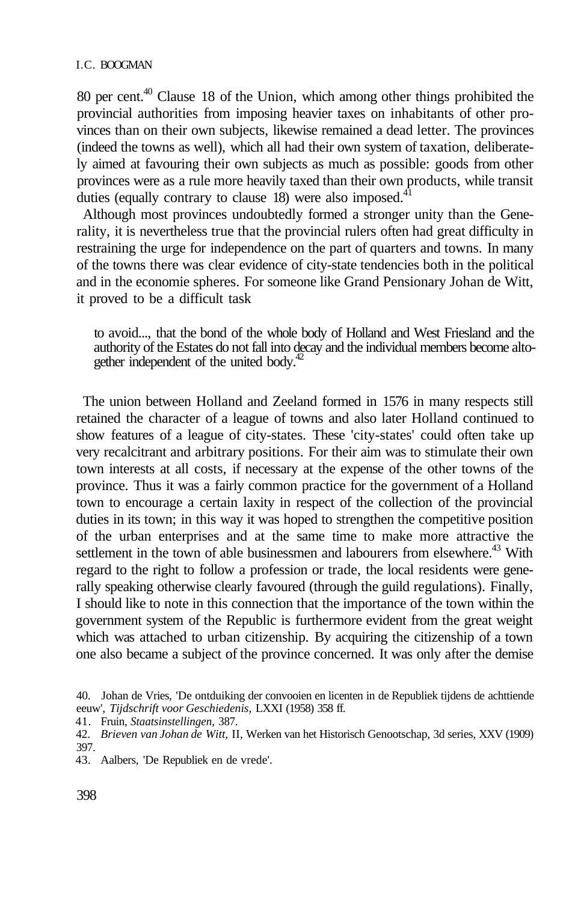### I.C. BOOGMAN

80 per cent. $40$  Clause 18 of the Union, which among other things prohibited the provincial authorities from imposing heavier taxes on inhabitants of other provinces than on their own subjects, likewise remained a dead letter. The provinces (indeed the towns as well), which all had their own system of taxation, deliberately aimed at favouring their own subjects as much as possible: goods from other provinces were as a rule more heavily taxed than their own products, while transit duties (equally contrary to clause 18) were also imposed. $4^1$ 

Although most provinces undoubtedly formed a stronger unity than the Generality, it is nevertheless true that the provincial rulers often had great difficulty in restraining the urge for independence on the part of quarters and towns. In many of the towns there was clear evidence of city-state tendencies both in the political and in the economie spheres. For someone like Grand Pensionary Johan de Witt, it proved to be a difficult task

to avoid..., that the bond of the whole body of Holland and West Friesland and the authority of the Estates do not fall into decay and the individual members become altogether independent of the united body.<sup>42</sup>

The union between Holland and Zeeland formed in 1576 in many respects still retained the character of a league of towns and also later Holland continued to show features of a league of city-states. These 'city-states' could often take up very recalcitrant and arbitrary positions. For their aim was to stimulate their own town interests at all costs, if necessary at the expense of the other towns of the province. Thus it was a fairly common practice for the government of a Holland town to encourage a certain laxity in respect of the collection of the provincial duties in its town; in this way it was hoped to strengthen the competitive position of the urban enterprises and at the same time to make more attractive the settlement in the town of able businessmen and labourers from elsewhere.<sup>43</sup> With regard to the right to follow a profession or trade, the local residents were generally speaking otherwise clearly favoured (through the guild regulations). Finally, I should like to note in this connection that the importance of the town within the government system of the Republic is furthermore evident from the great weight which was attached to urban citizenship. By acquiring the citizenship of a town one also became a subject of the province concerned. It was only after the demise

<sup>40.</sup> Johan de Vries, 'De ontduiking der convooien en licenten in de Republiek tijdens de achttiende eeuw', *Tijdschrift voor Geschiedenis,* LXXI (1958) 358 ff.

<sup>41.</sup> Fruin, *Staatsinstellingen,* 387.

<sup>42.</sup> *Brieven van Johan de Witt,* II, Werken van het Historisch Genootschap, 3d series, XXV (1909) 397.

<sup>43.</sup> Aalbers, 'De Republiek en de vrede'.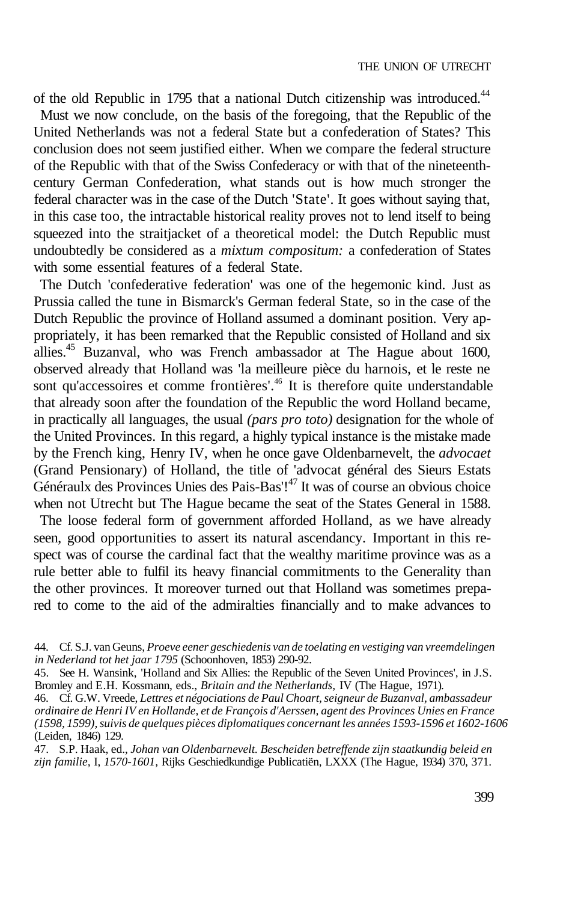of the old Republic in 1795 that a national Dutch citizenship was introduced.<sup>44</sup> Must we now conclude, on the basis of the foregoing, that the Republic of the United Netherlands was not a federal State but a confederation of States? This conclusion does not seem justified either. When we compare the federal structure of the Republic with that of the Swiss Confederacy or with that of the nineteenthcentury German Confederation, what stands out is how much stronger the federal character was in the case of the Dutch 'State'. It goes without saying that, in this case too, the intractable historical reality proves not to lend itself to being squeezed into the straitjacket of a theoretical model: the Dutch Republic must undoubtedly be considered as a *mixtum compositum:* a confederation of States with some essential features of a federal State.

The Dutch 'confederative federation' was one of the hegemonic kind. Just as Prussia called the tune in Bismarck's German federal State, so in the case of the Dutch Republic the province of Holland assumed a dominant position. Very appropriately, it has been remarked that the Republic consisted of Holland and six allies.<sup>45</sup> Buzanval, who was French ambassador at The Hague about 1600, observed already that Holland was 'la meilleure pièce du harnois, et le reste ne sont qu'accessoires et comme frontières'.<sup>46</sup> It is therefore quite understandable that already soon after the foundation of the Republic the word Holland became, in practically all languages, the usual *(pars pro toto)* designation for the whole of the United Provinces. In this regard, a highly typical instance is the mistake made by the French king, Henry IV, when he once gave Oldenbarnevelt, the *advocaet*  (Grand Pensionary) of Holland, the title of 'advocat général des Sieurs Estats Généraulx des Provinces Unies des Pais-Bas'!<sup>47</sup> It was of course an obvious choice when not Utrecht but The Hague became the seat of the States General in 1588.

The loose federal form of government afforded Holland, as we have already seen, good opportunities to assert its natural ascendancy. Important in this respect was of course the cardinal fact that the wealthy maritime province was as a rule better able to fulfil its heavy financial commitments to the Generality than the other provinces. It moreover turned out that Holland was sometimes prepared to come to the aid of the admiralties financially and to make advances to

47. S.P. Haak, ed., *Johan van Oldenbarnevelt. Bescheiden betreffende zijn staatkundig beleid en zijn familie,* I, *1570-1601,* Rijks Geschiedkundige Publicatiën, LXXX (The Hague, 1934) 370, 371.

<sup>44.</sup> Cf. S.J. van Geuns, *Proeve eener geschiedenis van de toelating en vestiging van vreemdelingen in Nederland tot het jaar 1795* (Schoonhoven, 1853) 290-92.

<sup>45.</sup> See H. Wansink, 'Holland and Six Allies: the Republic of the Seven United Provinces', in J.S. Bromley and E.H. Kossmann, eds., *Britain and the Netherlands,* IV (The Hague, 1971).

<sup>46.</sup> Cf. G.W. Vreede, *Lettres et négociations de Paul Choart, seigneur de Buzanval, ambassadeur ordinaire de Henri IV en Hollande, et de François d'Aerssen, agent des Provinces Unies en France (1598, 1599), suivis de quelques pièces diplomatiques concernant les années 1593-1596 et 1602-1606*  (Leiden, 1846) 129.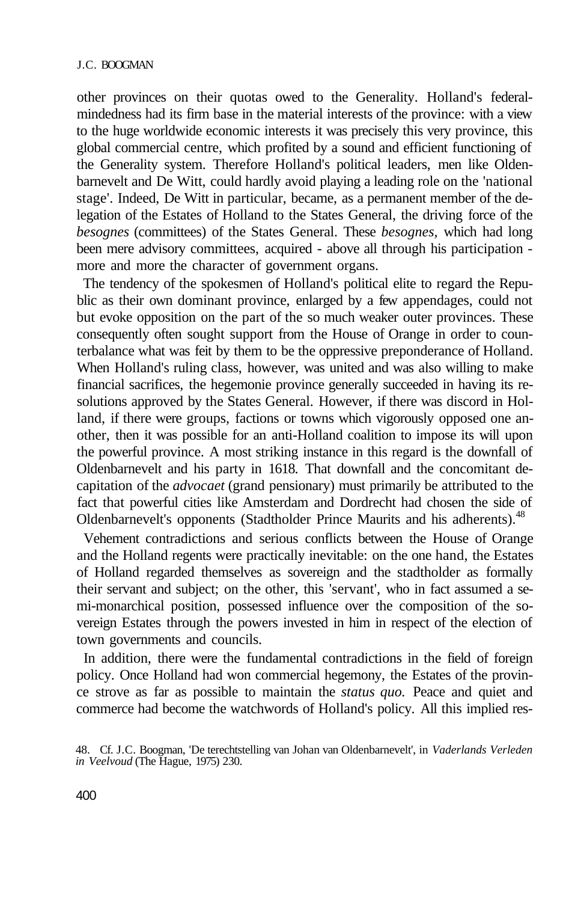#### J.C. BOOGMAN

other provinces on their quotas owed to the Generality. Holland's federalmindedness had its firm base in the material interests of the province: with a view to the huge worldwide economic interests it was precisely this very province, this global commercial centre, which profited by a sound and efficient functioning of the Generality system. Therefore Holland's political leaders, men like Oldenbarnevelt and De Witt, could hardly avoid playing a leading role on the 'national stage'. Indeed, De Witt in particular, became, as a permanent member of the delegation of the Estates of Holland to the States General, the driving force of the *besognes* (committees) of the States General. These *besognes,* which had long been mere advisory committees, acquired - above all through his participation more and more the character of government organs.

The tendency of the spokesmen of Holland's political elite to regard the Republic as their own dominant province, enlarged by a few appendages, could not but evoke opposition on the part of the so much weaker outer provinces. These consequently often sought support from the House of Orange in order to counterbalance what was feit by them to be the oppressive preponderance of Holland. When Holland's ruling class, however, was united and was also willing to make financial sacrifices, the hegemonie province generally succeeded in having its resolutions approved by the States General. However, if there was discord in Holland, if there were groups, factions or towns which vigorously opposed one another, then it was possible for an anti-Holland coalition to impose its will upon the powerful province. A most striking instance in this regard is the downfall of Oldenbarnevelt and his party in 1618. That downfall and the concomitant decapitation of the *advocaet* (grand pensionary) must primarily be attributed to the fact that powerful cities like Amsterdam and Dordrecht had chosen the side of Oldenbarnevelt's opponents (Stadtholder Prince Maurits and his adherents).<sup>48</sup>

Vehement contradictions and serious conflicts between the House of Orange and the Holland regents were practically inevitable: on the one hand, the Estates of Holland regarded themselves as sovereign and the stadtholder as formally their servant and subject; on the other, this 'servant', who in fact assumed a semi-monarchical position, possessed influence over the composition of the sovereign Estates through the powers invested in him in respect of the election of town governments and councils.

In addition, there were the fundamental contradictions in the field of foreign policy. Once Holland had won commercial hegemony, the Estates of the province strove as far as possible to maintain the *status quo.* Peace and quiet and commerce had become the watchwords of Holland's policy. All this implied res-

<sup>48.</sup> Cf. J.C. Boogman, 'De terechtstelling van Johan van Oldenbarnevelt', in *Vaderlands Verleden in Veelvoud* (The Hague, 1975) 230.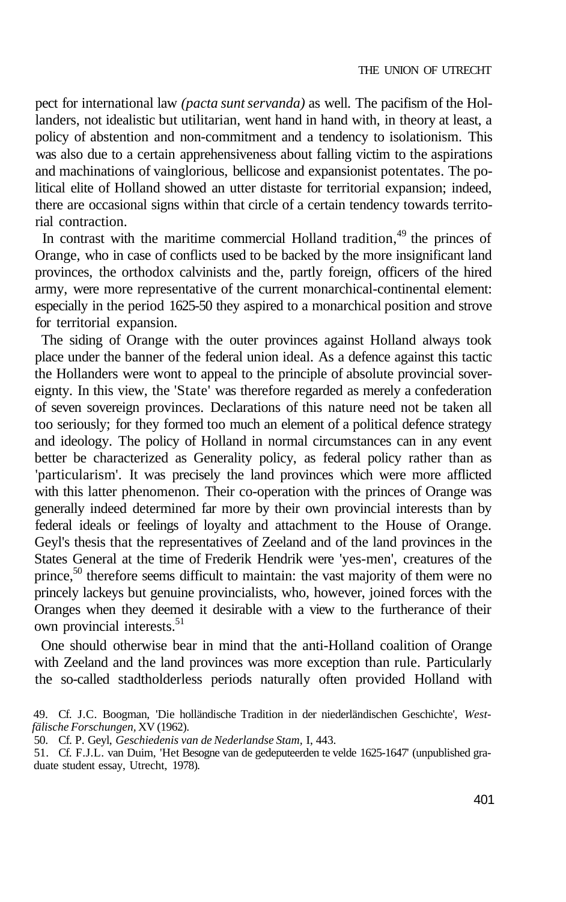pect for international law *(pacta sunt servanda)* as well. The pacifism of the Hollanders, not idealistic but utilitarian, went hand in hand with, in theory at least, a policy of abstention and non-commitment and a tendency to isolationism. This was also due to a certain apprehensiveness about falling victim to the aspirations and machinations of vainglorious, bellicose and expansionist potentates. The political elite of Holland showed an utter distaste for territorial expansion; indeed, there are occasional signs within that circle of a certain tendency towards territorial contraction.

In contrast with the maritime commercial Holland tradition, $49$  the princes of Orange, who in case of conflicts used to be backed by the more insignificant land provinces, the orthodox calvinists and the, partly foreign, officers of the hired army, were more representative of the current monarchical-continental element: especially in the period 1625-50 they aspired to a monarchical position and strove for territorial expansion.

The siding of Orange with the outer provinces against Holland always took place under the banner of the federal union ideal. As a defence against this tactic the Hollanders were wont to appeal to the principle of absolute provincial sovereignty. In this view, the 'State' was therefore regarded as merely a confederation of seven sovereign provinces. Declarations of this nature need not be taken all too seriously; for they formed too much an element of a political defence strategy and ideology. The policy of Holland in normal circumstances can in any event better be characterized as Generality policy, as federal policy rather than as 'particularism'. It was precisely the land provinces which were more afflicted with this latter phenomenon. Their co-operation with the princes of Orange was generally indeed determined far more by their own provincial interests than by federal ideals or feelings of loyalty and attachment to the House of Orange. Geyl's thesis that the representatives of Zeeland and of the land provinces in the States General at the time of Frederik Hendrik were 'yes-men', creatures of the prince,<sup>50</sup> therefore seems difficult to maintain: the vast majority of them were no princely lackeys but genuine provincialists, who, however, joined forces with the Oranges when they deemed it desirable with a view to the furtherance of their own provincial interests.<sup>51</sup>

One should otherwise bear in mind that the anti-Holland coalition of Orange with Zeeland and the land provinces was more exception than rule. Particularly the so-called stadtholderless periods naturally often provided Holland with

<sup>49.</sup> Cf. J.C. Boogman, 'Die holländische Tradition in der niederländischen Geschichte', *Westfälische Forschungen,* XV (1962).

<sup>50.</sup> Cf. P. Geyl, *Geschiedenis van de Nederlandse Stam,* I, 443.

<sup>51.</sup> Cf. F.J.L. van Duim, 'Het Besogne van de gedeputeerden te velde 1625-1647' (unpublished graduate student essay, Utrecht, 1978).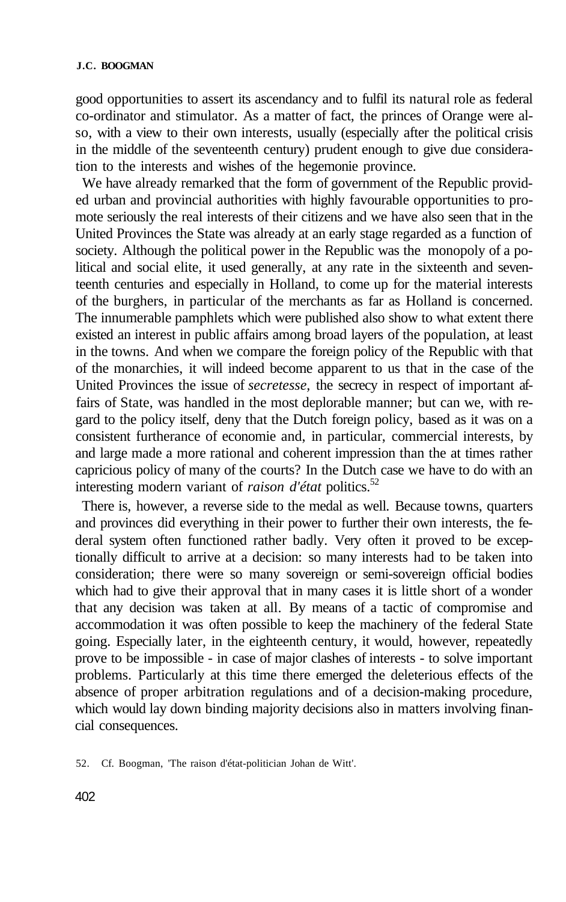good opportunities to assert its ascendancy and to fulfil its natural role as federal co-ordinator and stimulator. As a matter of fact, the princes of Orange were also, with a view to their own interests, usually (especially after the political crisis in the middle of the seventeenth century) prudent enough to give due consideration to the interests and wishes of the hegemonie province.

We have already remarked that the form of government of the Republic provided urban and provincial authorities with highly favourable opportunities to promote seriously the real interests of their citizens and we have also seen that in the United Provinces the State was already at an early stage regarded as a function of society. Although the political power in the Republic was the monopoly of a political and social elite, it used generally, at any rate in the sixteenth and seventeenth centuries and especially in Holland, to come up for the material interests of the burghers, in particular of the merchants as far as Holland is concerned. The innumerable pamphlets which were published also show to what extent there existed an interest in public affairs among broad layers of the population, at least in the towns. And when we compare the foreign policy of the Republic with that of the monarchies, it will indeed become apparent to us that in the case of the United Provinces the issue of *secretesse,* the secrecy in respect of important affairs of State, was handled in the most deplorable manner; but can we, with regard to the policy itself, deny that the Dutch foreign policy, based as it was on a consistent furtherance of economie and, in particular, commercial interests, by and large made a more rational and coherent impression than the at times rather capricious policy of many of the courts? In the Dutch case we have to do with an interesting modern variant of *raison d'état* politics.<sup>52</sup>

There is, however, a reverse side to the medal as well. Because towns, quarters and provinces did everything in their power to further their own interests, the federal system often functioned rather badly. Very often it proved to be exceptionally difficult to arrive at a decision: so many interests had to be taken into consideration; there were so many sovereign or semi-sovereign official bodies which had to give their approval that in many cases it is little short of a wonder that any decision was taken at all. By means of a tactic of compromise and accommodation it was often possible to keep the machinery of the federal State going. Especially later, in the eighteenth century, it would, however, repeatedly prove to be impossible - in case of major clashes of interests - to solve important problems. Particularly at this time there emerged the deleterious effects of the absence of proper arbitration regulations and of a decision-making procedure, which would lay down binding majority decisions also in matters involving financial consequences.

52. Cf. Boogman, 'The raison d'état-politician Johan de Witt'.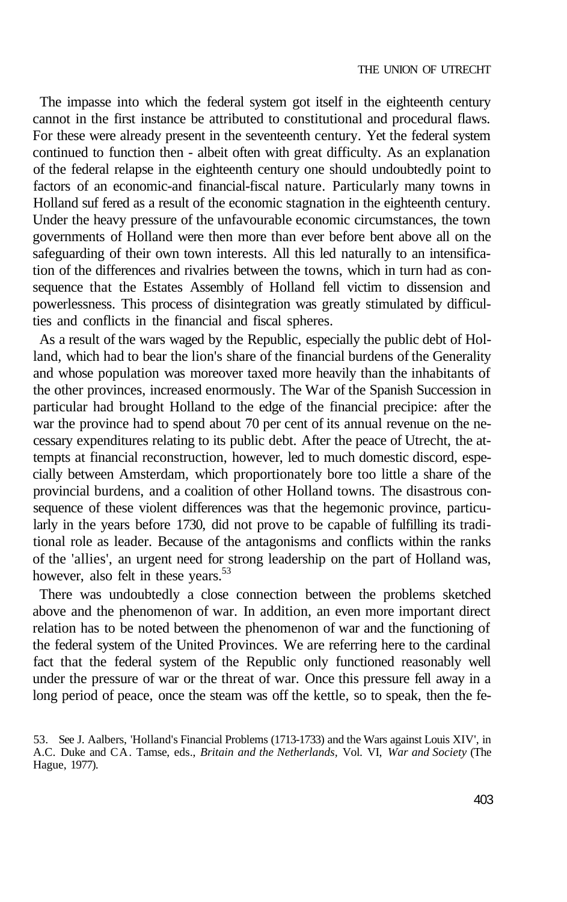The impasse into which the federal system got itself in the eighteenth century cannot in the first instance be attributed to constitutional and procedural flaws. For these were already present in the seventeenth century. Yet the federal system continued to function then - albeit often with great difficulty. As an explanation of the federal relapse in the eighteenth century one should undoubtedly point to factors of an economic-and financial-fiscal nature. Particularly many towns in Holland suf fered as a result of the economic stagnation in the eighteenth century. Under the heavy pressure of the unfavourable economic circumstances, the town governments of Holland were then more than ever before bent above all on the safeguarding of their own town interests. All this led naturally to an intensification of the differences and rivalries between the towns, which in turn had as consequence that the Estates Assembly of Holland fell victim to dissension and powerlessness. This process of disintegration was greatly stimulated by difficulties and conflicts in the financial and fiscal spheres.

As a result of the wars waged by the Republic, especially the public debt of Holland, which had to bear the lion's share of the financial burdens of the Generality and whose population was moreover taxed more heavily than the inhabitants of the other provinces, increased enormously. The War of the Spanish Succession in particular had brought Holland to the edge of the financial precipice: after the war the province had to spend about 70 per cent of its annual revenue on the necessary expenditures relating to its public debt. After the peace of Utrecht, the attempts at financial reconstruction, however, led to much domestic discord, especially between Amsterdam, which proportionately bore too little a share of the provincial burdens, and a coalition of other Holland towns. The disastrous consequence of these violent differences was that the hegemonic province, particularly in the years before 1730, did not prove to be capable of fulfilling its traditional role as leader. Because of the antagonisms and conflicts within the ranks of the 'allies', an urgent need for strong leadership on the part of Holland was, however, also felt in these years. $53$ 

There was undoubtedly a close connection between the problems sketched above and the phenomenon of war. In addition, an even more important direct relation has to be noted between the phenomenon of war and the functioning of the federal system of the United Provinces. We are referring here to the cardinal fact that the federal system of the Republic only functioned reasonably well under the pressure of war or the threat of war. Once this pressure fell away in a long period of peace, once the steam was off the kettle, so to speak, then the fe-

<sup>53.</sup> See J. Aalbers, 'Holland's Financial Problems (1713-1733) and the Wars against Louis XIV', in A.C. Duke and CA. Tamse, eds., *Britain and the Netherlands,* Vol. VI, *War and Society* (The Hague, 1977).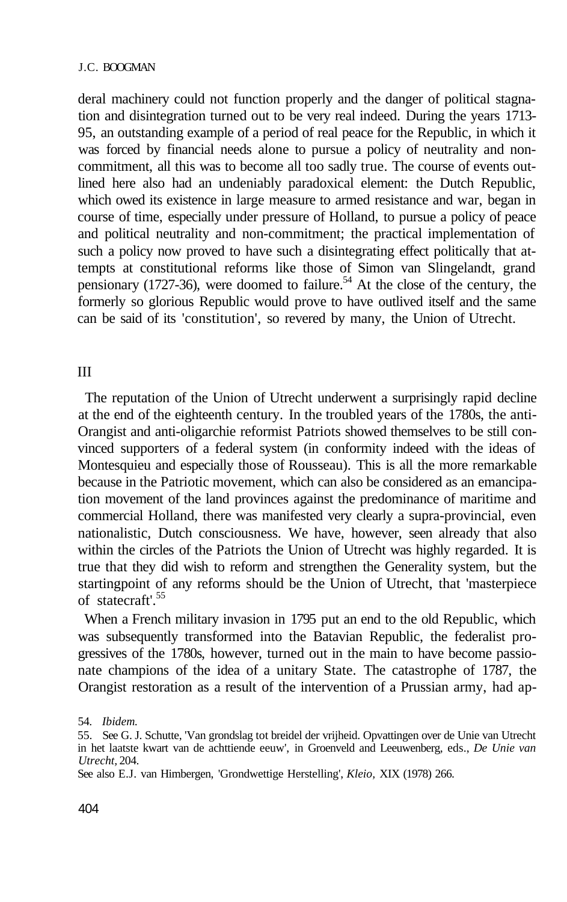deral machinery could not function properly and the danger of political stagnation and disintegration turned out to be very real indeed. During the years 1713- 95, an outstanding example of a period of real peace for the Republic, in which it was forced by financial needs alone to pursue a policy of neutrality and noncommitment, all this was to become all too sadly true. The course of events outlined here also had an undeniably paradoxical element: the Dutch Republic, which owed its existence in large measure to armed resistance and war, began in course of time, especially under pressure of Holland, to pursue a policy of peace and political neutrality and non-commitment; the practical implementation of such a policy now proved to have such a disintegrating effect politically that attempts at constitutional reforms like those of Simon van Slingelandt, grand pensionary (1727-36), were doomed to failure.<sup>54</sup> At the close of the century, the formerly so glorious Republic would prove to have outlived itself and the same can be said of its 'constitution', so revered by many, the Union of Utrecht.

# III

The reputation of the Union of Utrecht underwent a surprisingly rapid decline at the end of the eighteenth century. In the troubled years of the 1780s, the anti-Orangist and anti-oligarchie reformist Patriots showed themselves to be still convinced supporters of a federal system (in conformity indeed with the ideas of Montesquieu and especially those of Rousseau). This is all the more remarkable because in the Patriotic movement, which can also be considered as an emancipation movement of the land provinces against the predominance of maritime and commercial Holland, there was manifested very clearly a supra-provincial, even nationalistic, Dutch consciousness. We have, however, seen already that also within the circles of the Patriots the Union of Utrecht was highly regarded. It is true that they did wish to reform and strengthen the Generality system, but the startingpoint of any reforms should be the Union of Utrecht, that 'masterpiece of statecraft'.<sup>55</sup>

When a French military invasion in 1795 put an end to the old Republic, which was subsequently transformed into the Batavian Republic, the federalist progressives of the 1780s, however, turned out in the main to have become passionate champions of the idea of a unitary State. The catastrophe of 1787, the Orangist restoration as a result of the intervention of a Prussian army, had ap-

<sup>54.</sup> *Ibidem.* 

<sup>55.</sup> See G. J. Schutte, 'Van grondslag tot breidel der vrijheid. Opvattingen over de Unie van Utrecht in het laatste kwart van de achttiende eeuw', in Groenveld and Leeuwenberg, eds., *De Unie van Utrecht,* 204.

See also E.J. van Himbergen, 'Grondwettige Herstelling', *Kleio,* XIX (1978) 266.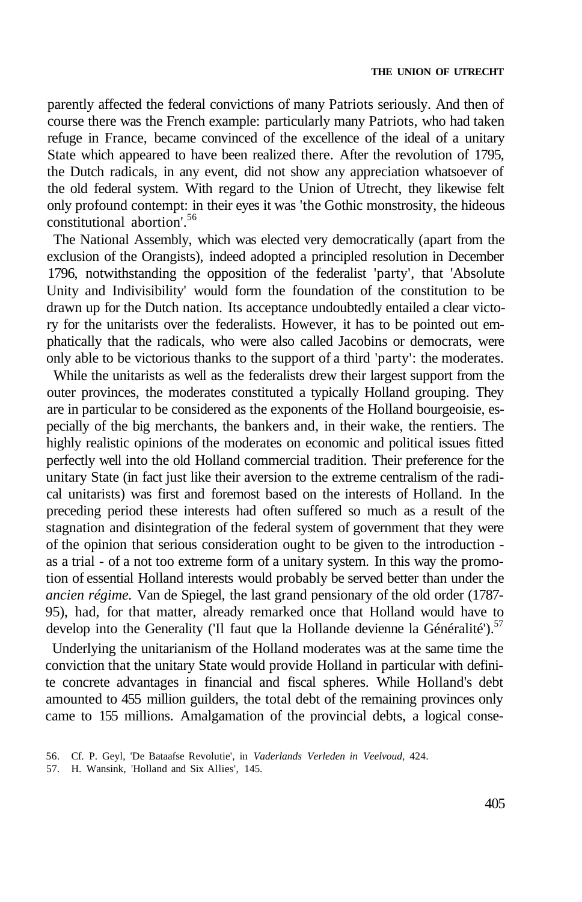parently affected the federal convictions of many Patriots seriously. And then of course there was the French example: particularly many Patriots, who had taken refuge in France, became convinced of the excellence of the ideal of a unitary State which appeared to have been realized there. After the revolution of 1795, the Dutch radicals, in any event, did not show any appreciation whatsoever of the old federal system. With regard to the Union of Utrecht, they likewise felt only profound contempt: in their eyes it was 'the Gothic monstrosity, the hideous constitutional abortion'.<sup>56</sup>

The National Assembly, which was elected very democratically (apart from the exclusion of the Orangists), indeed adopted a principled resolution in December 1796, notwithstanding the opposition of the federalist 'party', that 'Absolute Unity and Indivisibility' would form the foundation of the constitution to be drawn up for the Dutch nation. Its acceptance undoubtedly entailed a clear victory for the unitarists over the federalists. However, it has to be pointed out emphatically that the radicals, who were also called Jacobins or democrats, were only able to be victorious thanks to the support of a third 'party': the moderates.

While the unitarists as well as the federalists drew their largest support from the outer provinces, the moderates constituted a typically Holland grouping. They are in particular to be considered as the exponents of the Holland bourgeoisie, especially of the big merchants, the bankers and, in their wake, the rentiers. The highly realistic opinions of the moderates on economic and political issues fitted perfectly well into the old Holland commercial tradition. Their preference for the unitary State (in fact just like their aversion to the extreme centralism of the radical unitarists) was first and foremost based on the interests of Holland. In the preceding period these interests had often suffered so much as a result of the stagnation and disintegration of the federal system of government that they were of the opinion that serious consideration ought to be given to the introduction as a trial - of a not too extreme form of a unitary system. In this way the promotion of essential Holland interests would probably be served better than under the *ancien régime.* Van de Spiegel, the last grand pensionary of the old order (1787- 95), had, for that matter, already remarked once that Holland would have to develop into the Generality ('Il faut que la Hollande devienne la Généralité').<sup>57</sup>

Underlying the unitarianism of the Holland moderates was at the same time the conviction that the unitary State would provide Holland in particular with definite concrete advantages in financial and fiscal spheres. While Holland's debt amounted to 455 million guilders, the total debt of the remaining provinces only came to 155 millions. Amalgamation of the provincial debts, a logical conse-

<sup>56.</sup> Cf. P. Geyl, 'De Bataafse Revolutie', in *Vaderlands Verleden in Veelvoud,* 424.

<sup>57.</sup> H. Wansink, 'Holland and Six Allies', 145.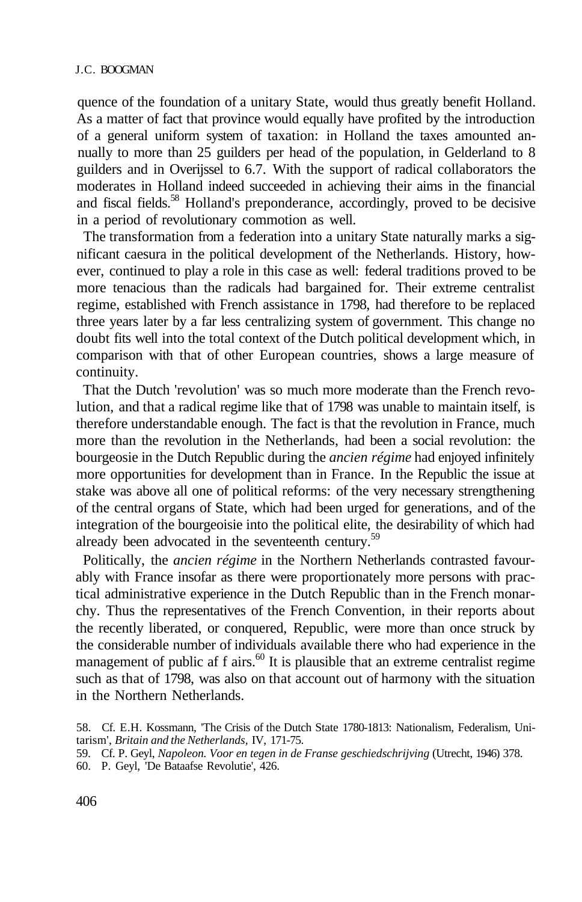quence of the foundation of a unitary State, would thus greatly benefit Holland. As a matter of fact that province would equally have profited by the introduction of a general uniform system of taxation: in Holland the taxes amounted annually to more than 25 guilders per head of the population, in Gelderland to 8 guilders and in Overijssel to 6.7. With the support of radical collaborators the moderates in Holland indeed succeeded in achieving their aims in the financial and fiscal fields.<sup>58</sup> Holland's preponderance, accordingly, proved to be decisive in a period of revolutionary commotion as well.

The transformation from a federation into a unitary State naturally marks a significant caesura in the political development of the Netherlands. History, however, continued to play a role in this case as well: federal traditions proved to be more tenacious than the radicals had bargained for. Their extreme centralist regime, established with French assistance in 1798, had therefore to be replaced three years later by a far less centralizing system of government. This change no doubt fits well into the total context of the Dutch political development which, in comparison with that of other European countries, shows a large measure of continuity.

That the Dutch 'revolution' was so much more moderate than the French revolution, and that a radical regime like that of 1798 was unable to maintain itself, is therefore understandable enough. The fact is that the revolution in France, much more than the revolution in the Netherlands, had been a social revolution: the bourgeosie in the Dutch Republic during the *ancien régime* had enjoyed infinitely more opportunities for development than in France. In the Republic the issue at stake was above all one of political reforms: of the very necessary strengthening of the central organs of State, which had been urged for generations, and of the integration of the bourgeoisie into the political elite, the desirability of which had already been advocated in the seventeenth century.<sup>59</sup>

Politically, the *ancien régime* in the Northern Netherlands contrasted favourably with France insofar as there were proportionately more persons with practical administrative experience in the Dutch Republic than in the French monarchy. Thus the representatives of the French Convention, in their reports about the recently liberated, or conquered, Republic, were more than once struck by the considerable number of individuals available there who had experience in the management of public af f airs.<sup>60</sup> It is plausible that an extreme centralist regime such as that of 1798, was also on that account out of harmony with the situation in the Northern Netherlands.

59. Cf. P. Geyl, *Napoleon. Voor en tegen in de Franse geschiedschrijving* (Utrecht, 1946) 378.

<sup>58.</sup> Cf. E.H. Kossmann, 'The Crisis of the Dutch State 1780-1813: Nationalism, Federalism, Unitarism', *Britain and the Netherlands,* IV, 171-75.

<sup>60.</sup> P. Geyl, 'De Bataafse Revolutie', 426.